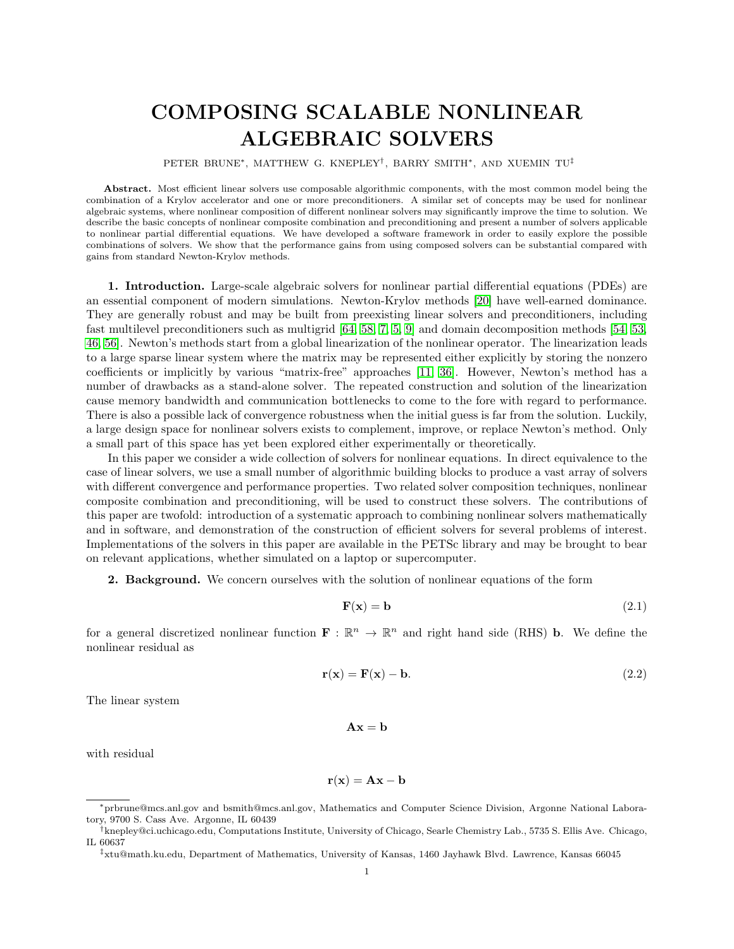## COMPOSING SCALABLE NONLINEAR ALGEBRAIC SOLVERS

PETER BRUNE∗, MATTHEW G. KNEPLEY† , BARRY SMITH∗, AND XUEMIN TU‡

Abstract. Most efficient linear solvers use composable algorithmic components, with the most common model being the combination of a Krylov accelerator and one or more preconditioners. A similar set of concepts may be used for nonlinear algebraic systems, where nonlinear composition of different nonlinear solvers may significantly improve the time to solution. We describe the basic concepts of nonlinear composite combination and preconditioning and present a number of solvers applicable to nonlinear partial differential equations. We have developed a software framework in order to easily explore the possible combinations of solvers. We show that the performance gains from using composed solvers can be substantial compared with gains from standard Newton-Krylov methods.

1. Introduction. Large-scale algebraic solvers for nonlinear partial differential equations (PDEs) are an essential component of modern simulations. Newton-Krylov methods [\[20\]](#page-27-0) have well-earned dominance. They are generally robust and may be built from preexisting linear solvers and preconditioners, including fast multilevel preconditioners such as multigrid [\[64,](#page-28-0) [58,](#page-28-1) [7,](#page-27-1) [5,](#page-27-2) [9\]](#page-27-3) and domain decomposition methods [\[54,](#page-28-2) [53,](#page-28-3) [46,](#page-28-4) [56\]](#page-28-5). Newton's methods start from a global linearization of the nonlinear operator. The linearization leads to a large sparse linear system where the matrix may be represented either explicitly by storing the nonzero coefficients or implicitly by various "matrix-free" approaches [\[11,](#page-27-4) [36\]](#page-27-5). However, Newton's method has a number of drawbacks as a stand-alone solver. The repeated construction and solution of the linearization cause memory bandwidth and communication bottlenecks to come to the fore with regard to performance. There is also a possible lack of convergence robustness when the initial guess is far from the solution. Luckily, a large design space for nonlinear solvers exists to complement, improve, or replace Newton's method. Only a small part of this space has yet been explored either experimentally or theoretically.

In this paper we consider a wide collection of solvers for nonlinear equations. In direct equivalence to the case of linear solvers, we use a small number of algorithmic building blocks to produce a vast array of solvers with different convergence and performance properties. Two related solver composition techniques, nonlinear composite combination and preconditioning, will be used to construct these solvers. The contributions of this paper are twofold: introduction of a systematic approach to combining nonlinear solvers mathematically and in software, and demonstration of the construction of efficient solvers for several problems of interest. Implementations of the solvers in this paper are available in the PETSc library and may be brought to bear on relevant applications, whether simulated on a laptop or supercomputer.

2. Background. We concern ourselves with the solution of nonlinear equations of the form

<span id="page-0-0"></span>
$$
\mathbf{F}(\mathbf{x}) = \mathbf{b} \tag{2.1}
$$

for a general discretized nonlinear function  $\mathbf{F} : \mathbb{R}^n \to \mathbb{R}^n$  and right hand side (RHS) **b**. We define the nonlinear residual as

$$
\mathbf{r}(\mathbf{x}) = \mathbf{F}(\mathbf{x}) - \mathbf{b}.\tag{2.2}
$$

The linear system

$$
\mathbf{A}\mathbf{x} = \mathbf{b}
$$

with residual

$$
\mathbf{r}(\mathbf{x}) = \mathbf{A}\mathbf{x} - \mathbf{b}
$$

<sup>∗</sup>prbrune@mcs.anl.gov and bsmith@mcs.anl.gov, Mathematics and Computer Science Division, Argonne National Laboratory, 9700 S. Cass Ave. Argonne, IL 60439

<sup>†</sup>knepley@ci.uchicago.edu, Computations Institute, University of Chicago, Searle Chemistry Lab., 5735 S. Ellis Ave. Chicago, IL 60637

<sup>‡</sup>xtu@math.ku.edu, Department of Mathematics, University of Kansas, 1460 Jayhawk Blvd. Lawrence, Kansas 66045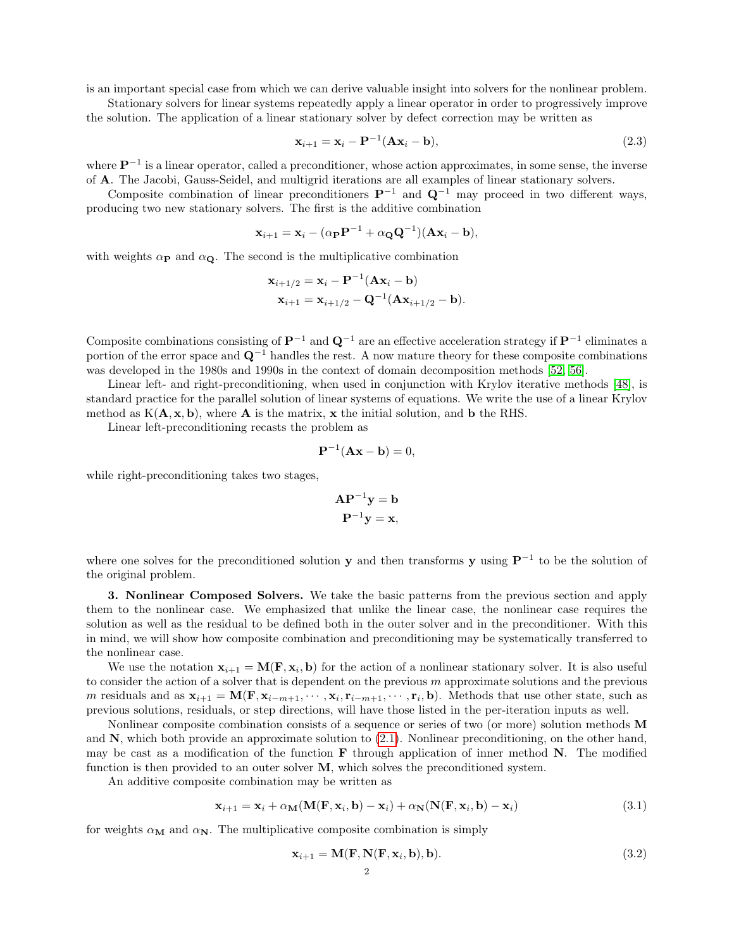is an important special case from which we can derive valuable insight into solvers for the nonlinear problem.

Stationary solvers for linear systems repeatedly apply a linear operator in order to progressively improve the solution. The application of a linear stationary solver by defect correction may be written as

$$
\mathbf{x}_{i+1} = \mathbf{x}_i - \mathbf{P}^{-1}(\mathbf{A}\mathbf{x}_i - \mathbf{b}),\tag{2.3}
$$

where  $\mathbf{P}^{-1}$  is a linear operator, called a preconditioner, whose action approximates, in some sense, the inverse of A. The Jacobi, Gauss-Seidel, and multigrid iterations are all examples of linear stationary solvers.

Composite combination of linear preconditioners  $\mathbf{P}^{-1}$  and  $\mathbf{Q}^{-1}$  may proceed in two different ways, producing two new stationary solvers. The first is the additive combination

$$
\mathbf{x}_{i+1} = \mathbf{x}_i - (\alpha_{\mathbf{P}} \mathbf{P}^{-1} + \alpha_{\mathbf{Q}} \mathbf{Q}^{-1}) (\mathbf{A} \mathbf{x}_i - \mathbf{b}),
$$

with weights  $\alpha_{\mathbf{P}}$  and  $\alpha_{\mathbf{Q}}$ . The second is the multiplicative combination

$$
\mathbf{x}_{i+1/2} = \mathbf{x}_i - \mathbf{P}^{-1}(\mathbf{A}\mathbf{x}_i - \mathbf{b})
$$
  

$$
\mathbf{x}_{i+1} = \mathbf{x}_{i+1/2} - \mathbf{Q}^{-1}(\mathbf{A}\mathbf{x}_{i+1/2} - \mathbf{b}).
$$

Composite combinations consisting of  $\mathbf{P}^{-1}$  and  $\mathbf{Q}^{-1}$  are an effective acceleration strategy if  $\mathbf{P}^{-1}$  eliminates a portion of the error space and  $\mathbf{Q}^{-1}$  handles the rest. A now mature theory for these composite combinations was developed in the 1980s and 1990s in the context of domain decomposition methods [\[52,](#page-28-6) [56\]](#page-28-5).

Linear left- and right-preconditioning, when used in conjunction with Krylov iterative methods [\[48\]](#page-28-7), is standard practice for the parallel solution of linear systems of equations. We write the use of a linear Krylov method as  $K(A, x, b)$ , where **A** is the matrix, **x** the initial solution, and **b** the RHS.

Linear left-preconditioning recasts the problem as

$$
\mathbf{P}^{-1}(\mathbf{A}\mathbf{x}-\mathbf{b})=0,
$$

while right-preconditioning takes two stages,

$$
\mathbf{AP}^{-1}\mathbf{y} = \mathbf{b}
$$

$$
\mathbf{P}^{-1}\mathbf{y} = \mathbf{x},
$$

where one solves for the preconditioned solution y and then transforms y using  $\mathbf{P}^{-1}$  to be the solution of the original problem.

3. Nonlinear Composed Solvers. We take the basic patterns from the previous section and apply them to the nonlinear case. We emphasized that unlike the linear case, the nonlinear case requires the solution as well as the residual to be defined both in the outer solver and in the preconditioner. With this in mind, we will show how composite combination and preconditioning may be systematically transferred to the nonlinear case.

We use the notation  $\mathbf{x}_{i+1} = \mathbf{M}(\mathbf{F}, \mathbf{x}_i, \mathbf{b})$  for the action of a nonlinear stationary solver. It is also useful to consider the action of a solver that is dependent on the previous  $m$  approximate solutions and the previous m residuals and as  $\mathbf{x}_{i+1} = \mathbf{M}(\mathbf{F}, \mathbf{x}_{i-m+1}, \cdots, \mathbf{x}_i, \mathbf{r}_{i-m+1}, \cdots, \mathbf{r}_i, \mathbf{b})$ . Methods that use other state, such as previous solutions, residuals, or step directions, will have those listed in the per-iteration inputs as well.

Nonlinear composite combination consists of a sequence or series of two (or more) solution methods M and  $\bf{N}$ , which both provide an approximate solution to  $(2.1)$ . Nonlinear preconditioning, on the other hand, may be cast as a modification of the function  $\bf{F}$  through application of inner method  $\bf{N}$ . The modified function is then provided to an outer solver M, which solves the preconditioned system.

An additive composite combination may be written as

<span id="page-1-1"></span>
$$
\mathbf{x}_{i+1} = \mathbf{x}_i + \alpha_{\mathbf{M}}(\mathbf{M}(\mathbf{F}, \mathbf{x}_i, \mathbf{b}) - \mathbf{x}_i) + \alpha_{\mathbf{N}}(\mathbf{N}(\mathbf{F}, \mathbf{x}_i, \mathbf{b}) - \mathbf{x}_i)
$$
(3.1)

for weights  $\alpha_M$  and  $\alpha_N$ . The multiplicative composite combination is simply

<span id="page-1-0"></span>
$$
\mathbf{x}_{i+1} = \mathbf{M}(\mathbf{F}, \mathbf{N}(\mathbf{F}, \mathbf{x}_i, \mathbf{b}), \mathbf{b}).
$$
\n(3.2)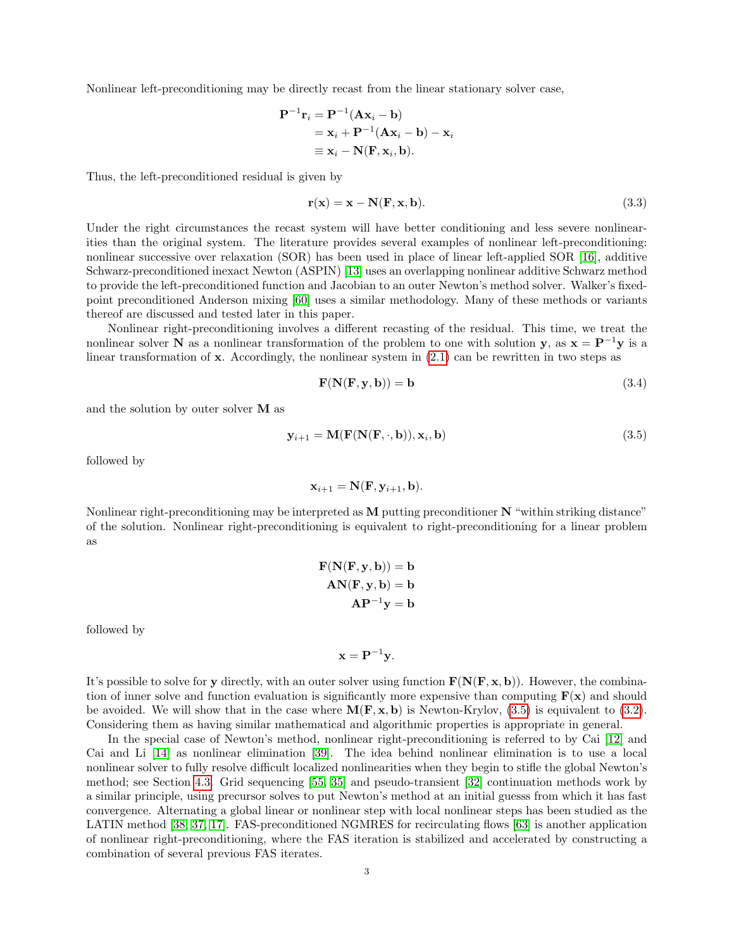Nonlinear left-preconditioning may be directly recast from the linear stationary solver case,

$$
\mathbf{P}^{-1}\mathbf{r}_i = \mathbf{P}^{-1}(\mathbf{A}\mathbf{x}_i - \mathbf{b})
$$
  
=  $\mathbf{x}_i + \mathbf{P}^{-1}(\mathbf{A}\mathbf{x}_i - \mathbf{b}) - \mathbf{x}_i$   
\equiv  $\mathbf{x}_i - \mathbf{N}(\mathbf{F}, \mathbf{x}_i, \mathbf{b})$ .

Thus, the left-preconditioned residual is given by

$$
\mathbf{r}(\mathbf{x}) = \mathbf{x} - \mathbf{N}(\mathbf{F}, \mathbf{x}, \mathbf{b}).
$$
\n(3.3)

Under the right circumstances the recast system will have better conditioning and less severe nonlinearities than the original system. The literature provides several examples of nonlinear left-preconditioning: nonlinear successive over relaxation (SOR) has been used in place of linear left-applied SOR [\[16\]](#page-27-6), additive Schwarz-preconditioned inexact Newton (ASPIN) [\[13\]](#page-27-7) uses an overlapping nonlinear additive Schwarz method to provide the left-preconditioned function and Jacobian to an outer Newton's method solver. Walker's fixedpoint preconditioned Anderson mixing [\[60\]](#page-28-8) uses a similar methodology. Many of these methods or variants thereof are discussed and tested later in this paper.

Nonlinear right-preconditioning involves a different recasting of the residual. This time, we treat the nonlinear solver N as a nonlinear transformation of the problem to one with solution y, as  $x = P^{-1}y$  is a linear transformation of  $\bf{x}$ . Accordingly, the nonlinear system in [\(2.1\)](#page-0-0) can be rewritten in two steps as

$$
\mathbf{F}(\mathbf{N}(\mathbf{F}, \mathbf{y}, \mathbf{b})) = \mathbf{b} \tag{3.4}
$$

and the solution by outer solver M as

<span id="page-2-0"></span>
$$
\mathbf{y}_{i+1} = \mathbf{M}(\mathbf{F}(\mathbf{N}(\mathbf{F}, \cdot, \mathbf{b})), \mathbf{x}_i, \mathbf{b})
$$
\n(3.5)

followed by

$$
\mathbf{x}_{i+1} = \mathbf{N}(\mathbf{F}, \mathbf{y}_{i+1}, \mathbf{b}).
$$

Nonlinear right-preconditioning may be interpreted as M putting preconditioner N "within striking distance" of the solution. Nonlinear right-preconditioning is equivalent to right-preconditioning for a linear problem as

$$
\mathbf{F}(\mathbf{N}(\mathbf{F}, \mathbf{y}, \mathbf{b})) = \mathbf{b}
$$

$$
\mathbf{A}\mathbf{N}(\mathbf{F}, \mathbf{y}, \mathbf{b}) = \mathbf{b}
$$

$$
\mathbf{A}\mathbf{P}^{-1}\mathbf{y} = \mathbf{b}
$$

followed by

 $\mathbf{x} = \mathbf{P}^{-1} \mathbf{y}$ .

It's possible to solve for y directly, with an outer solver using function  $\mathbf{F}(\mathbf{N}(\mathbf{F}, \mathbf{x}, \mathbf{b}))$ . However, the combination of inner solve and function evaluation is significantly more expensive than computing  $F(x)$  and should be avoided. We will show that in the case where  $\mathbf{M}(\mathbf{F}, \mathbf{x}, \mathbf{b})$  is Newton-Krylov, [\(3.5\)](#page-2-0) is equivalent to [\(3.2\)](#page-1-0). Considering them as having similar mathematical and algorithmic properties is appropriate in general.

In the special case of Newton's method, nonlinear right-preconditioning is referred to by Cai [\[12\]](#page-27-8) and Cai and Li [\[14\]](#page-27-9) as nonlinear elimination [\[39\]](#page-28-9). The idea behind nonlinear elimination is to use a local nonlinear solver to fully resolve difficult localized nonlinearities when they begin to stifle the global Newton's method; see Section [4.3.](#page-6-0) Grid sequencing [\[55,](#page-28-10) [35\]](#page-27-10) and pseudo-transient [\[32\]](#page-27-11) continuation methods work by a similar principle, using precursor solves to put Newton's method at an initial guesss from which it has fast convergence. Alternating a global linear or nonlinear step with local nonlinear steps has been studied as the LATIN method [\[38,](#page-27-12) [37,](#page-27-13) [17\]](#page-27-14). FAS-preconditioned NGMRES for recirculating flows [\[63\]](#page-28-11) is another application of nonlinear right-preconditioning, where the FAS iteration is stabilized and accelerated by constructing a combination of several previous FAS iterates.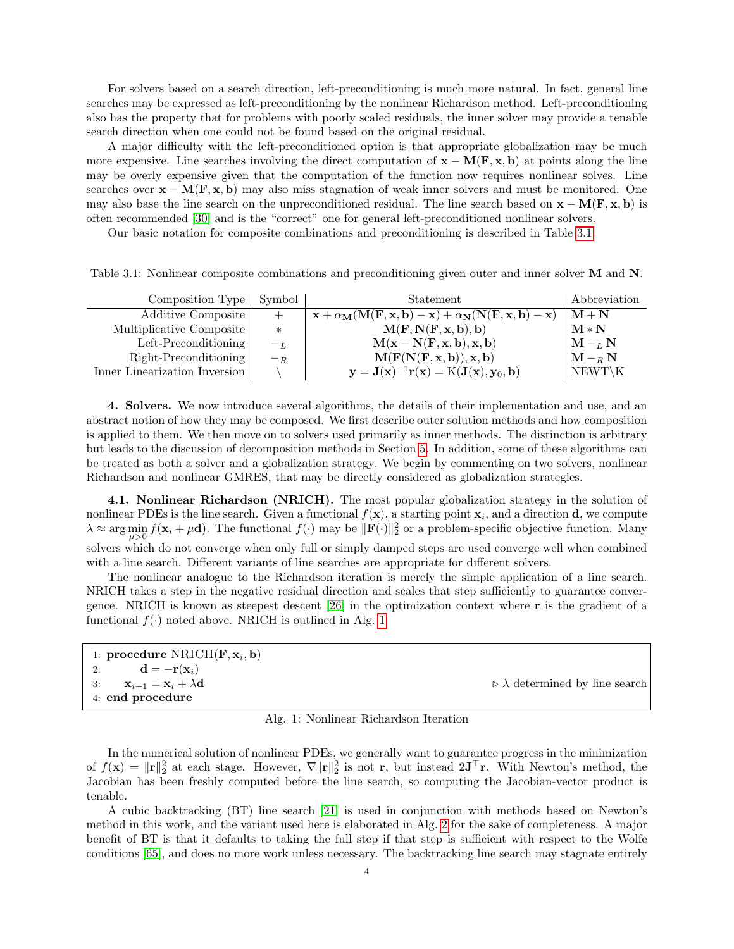For solvers based on a search direction, left-preconditioning is much more natural. In fact, general line searches may be expressed as left-preconditioning by the nonlinear Richardson method. Left-preconditioning also has the property that for problems with poorly scaled residuals, the inner solver may provide a tenable search direction when one could not be found based on the original residual.

A major difficulty with the left-preconditioned option is that appropriate globalization may be much more expensive. Line searches involving the direct computation of  $x - M(F, x, b)$  at points along the line may be overly expensive given that the computation of the function now requires nonlinear solves. Line searches over  $\mathbf{x} - \mathbf{M}(\mathbf{F}, \mathbf{x}, \mathbf{b})$  may also miss stagnation of weak inner solvers and must be monitored. One may also base the line search on the unpreconditioned residual. The line search based on  $\mathbf{x} - \mathbf{M}(\mathbf{F}, \mathbf{x}, \mathbf{b})$  is often recommended [\[30\]](#page-27-15) and is the "correct" one for general left-preconditioned nonlinear solvers.

Our basic notation for composite combinations and preconditioning is described in Table [3.1.](#page-3-0)

<span id="page-3-0"></span>Table 3.1: Nonlinear composite combinations and preconditioning given outer and inner solver M and N.

| Composition Type   Symbol     |        | Statement                                                                                                                                                                          | Abbreviation                 |
|-------------------------------|--------|------------------------------------------------------------------------------------------------------------------------------------------------------------------------------------|------------------------------|
| Additive Composite            | $^{+}$ | $\mathbf{x} + \alpha_{\mathbf{M}}(\mathbf{M}(\mathbf{F}, \mathbf{x}, \mathbf{b}) - \mathbf{x}) + \alpha_{\mathbf{N}}(\mathbf{N}(\mathbf{F}, \mathbf{x}, \mathbf{b}) - \mathbf{x})$ | $M + N$                      |
| Multiplicative Composite      | $\ast$ | M(F, N(F, x, b), b)                                                                                                                                                                | $\mathbf{M} * \mathbf{N}$    |
| Left-Preconditioning          | $-L$   | $M(x - N(F, x, b), x, b)$                                                                                                                                                          | $\mathbf{M} - _L \mathbf{N}$ |
| Right-Preconditioning         | $-R$   | M(F(N(F, x, b)), x, b)                                                                                                                                                             | $\mathbf{M} - R \mathbf{N}$  |
| Inner Linearization Inversion |        | $\mathbf{y} = \mathbf{J}(\mathbf{x})^{-1} \mathbf{r}(\mathbf{x}) = \mathrm{K}(\mathbf{J}(\mathbf{x}), \mathbf{y}_0, \mathbf{b})$                                                   | $NEWT\backslash K$           |

4. Solvers. We now introduce several algorithms, the details of their implementation and use, and an abstract notion of how they may be composed. We first describe outer solution methods and how composition is applied to them. We then move on to solvers used primarily as inner methods. The distinction is arbitrary but leads to the discussion of decomposition methods in Section [5.](#page-10-0) In addition, some of these algorithms can be treated as both a solver and a globalization strategy. We begin by commenting on two solvers, nonlinear Richardson and nonlinear GMRES, that may be directly considered as globalization strategies.

4.1. Nonlinear Richardson (NRICH). The most popular globalization strategy in the solution of nonlinear PDEs is the line search. Given a functional  $f(\mathbf{x})$ , a starting point  $\mathbf{x}_i$ , and a direction **d**, we compute  $\lambda \approx \arg \min_{\mu>0} f(\mathbf{x}_i + \mu \mathbf{d})$ . The functional  $f(\cdot)$  may be  $\|\mathbf{F}(\cdot)\|_2^2$  or a problem-specific objective function. Many solvers which do not converge when only full or simply damped steps are used converge well when combined with a line search. Different variants of line searches are appropriate for different solvers.

The nonlinear analogue to the Richardson iteration is merely the simple application of a line search. NRICH takes a step in the negative residual direction and scales that step sufficiently to guarantee convergence. NRICH is known as steepest descent  $[26]$  in the optimization context where r is the gradient of a functional  $f(\cdot)$  noted above. NRICH is outlined in Alg. [1.](#page-3-1)

<span id="page-3-1"></span>

| 1: procedure $NRICH(\mathbf{F}, \mathbf{x}_i, \mathbf{b})$ |                                                    |
|------------------------------------------------------------|----------------------------------------------------|
| 2: $\mathbf{d} = -\mathbf{r}(\mathbf{x}_i)$                |                                                    |
| 3: $\mathbf{x}_{i+1} = \mathbf{x}_i + \lambda \mathbf{d}$  | $\triangleright \lambda$ determined by line search |
| 4: end procedure                                           |                                                    |
|                                                            |                                                    |

|  |  |  |  |  |  | Alg. 1: Nonlinear Richardson Iteration |
|--|--|--|--|--|--|----------------------------------------|
|--|--|--|--|--|--|----------------------------------------|

In the numerical solution of nonlinear PDEs, we generally want to guarantee progress in the minimization of  $f(\mathbf{x}) = ||\mathbf{r}||_2^2$  at each stage. However,  $\nabla ||\mathbf{r}||_2^2$  is not r, but instead  $2\mathbf{J}^\top \mathbf{r}$ . With Newton's method, the Jacobian has been freshly computed before the line search, so computing the Jacobian-vector product is tenable.

A cubic backtracking (BT) line search [\[21\]](#page-27-17) is used in conjunction with methods based on Newton's method in this work, and the variant used here is elaborated in Alg. [2](#page-4-0) for the sake of completeness. A major benefit of BT is that it defaults to taking the full step if that step is sufficient with respect to the Wolfe conditions [\[65\]](#page-28-12), and does no more work unless necessary. The backtracking line search may stagnate entirely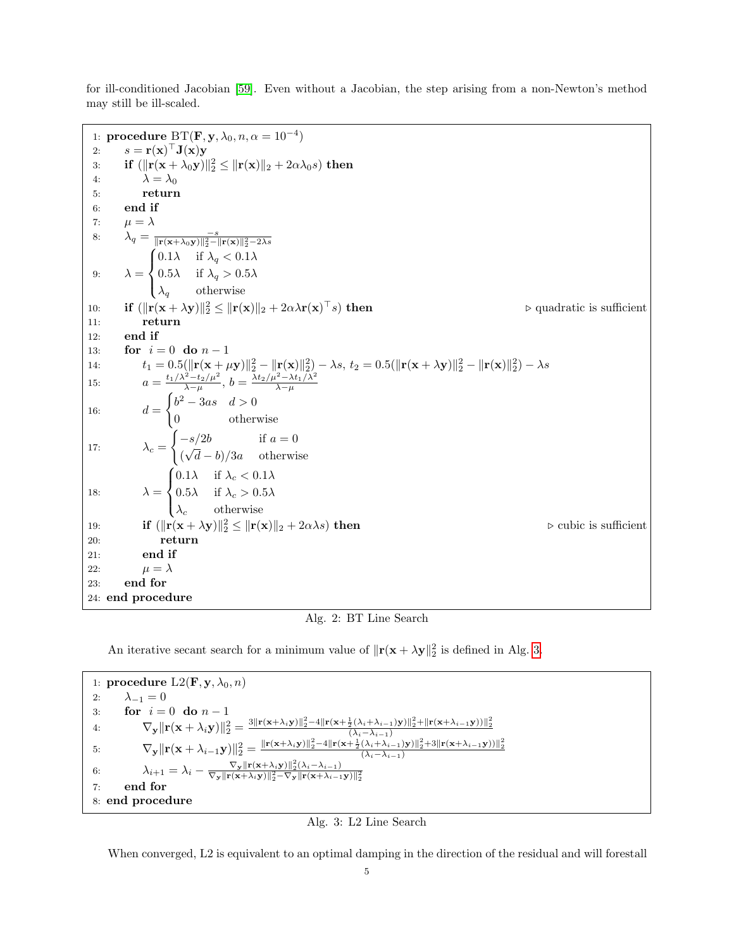for ill-conditioned Jacobian [\[59\]](#page-28-13). Even without a Jacobian, the step arising from a non-Newton's method may still be ill-scaled.

<span id="page-4-0"></span>1: **procedure**  $BT(\mathbf{F}, \mathbf{y}, \lambda_0, n, \alpha = 10^{-4})$ 2:  $s = \mathbf{r}(\mathbf{x})^{\top} \mathbf{J}(\mathbf{x}) \mathbf{y}$ 3: if  $(\|\mathbf{r}(\mathbf{x} + \lambda_0 \mathbf{y})\|_2^2 \leq \|\mathbf{r}(\mathbf{x})\|_2 + 2\alpha\lambda_0 s)$  then 4:  $\lambda = \lambda_0$ 5: return 6: end if 7:  $\mu = \lambda$ 8:  $\lambda_q = \frac{-s}{\|\mathbf{r}(\mathbf{x} + \lambda_0 \mathbf{y})\|_2^2 - \|\mathbf{r}(\mathbf{x})\|_2^2 - 2\lambda s}$ 9:  $\lambda =$  $\sqrt{ }$  $\int$  $\mathcal{L}$ 0.1 $\lambda$  if  $\lambda_q < 0.1\lambda$ 0.5 $\lambda$  if  $\lambda_q > 0.5\lambda$  $\lambda_q$  otherwise 10: **if**  $(\Vert \mathbf{r}(\mathbf{x} + \lambda \mathbf{y}) \Vert_2^2 \leq \Vert \mathbf{r}(\mathbf{x}) \Vert_2 + 2\alpha\lambda\mathbf{r}(\mathbf{x})$  $\triangleright$  quadratic is sufficient 11: return 12: end if 13: **for**  $i = 0$  **do**  $n - 1$ 14:  $t_1 = 0.5(\|\mathbf{r}(\mathbf{x} + \mu \mathbf{y})\|_2^2 - \|\mathbf{r}(\mathbf{x})\|_2^2) - \lambda s, t_2 = 0.5(\|\mathbf{r}(\mathbf{x} + \lambda \mathbf{y})\|_2^2 - \|\mathbf{r}(\mathbf{x})\|_2^2) - \lambda s$ 15:  $a = \frac{t_1/\lambda^2 - t_2/\mu^2}{\lambda - \mu}, b = \frac{\lambda t_2/\mu^2 - \lambda t_1/\lambda^2}{\lambda - \mu}$ 16:  $d =$  $\int b^2 - 3as \quad d > 0$ 0 otherwise 17:  $\lambda_c =$  $\int -s/2b$  if  $a=0$  $(\sqrt{d} - b)/3a$  otherwise 18:  $\lambda =$  $\sqrt{ }$  $\int$  $\overline{\mathcal{L}}$ 0.1 $\lambda$  if  $\lambda_c < 0.1\lambda$ 0.5 $\lambda$  if  $\lambda_c > 0.5\lambda$  $\lambda_c$  otherwise 19: **if**  $(\|\mathbf{r}(\mathbf{x} + \lambda \mathbf{y})\|_2^2 \leq \|\mathbf{r}(\mathbf{x})\|_2 + 2\alpha\lambda s)$  then<br>20: **return**  $\frac{2}{2} \le ||\mathbf{r}(\mathbf{x})||_2 + 2\alpha\lambda s$  then  $\triangleright$  cubic is sufficient return 21: end if 22:  $\mu = \lambda$ 23: end for 24: end procedure

Alg. 2: BT Line Search

An iterative secant search for a minimum value of  $\|\mathbf{r}(\mathbf{x} + \lambda \mathbf{y})\|_2^2$  is defined in Alg. [3.](#page-4-1)

<span id="page-4-1"></span>

Alg. 3: L2 Line Search

When converged, L2 is equivalent to an optimal damping in the direction of the residual and will forestall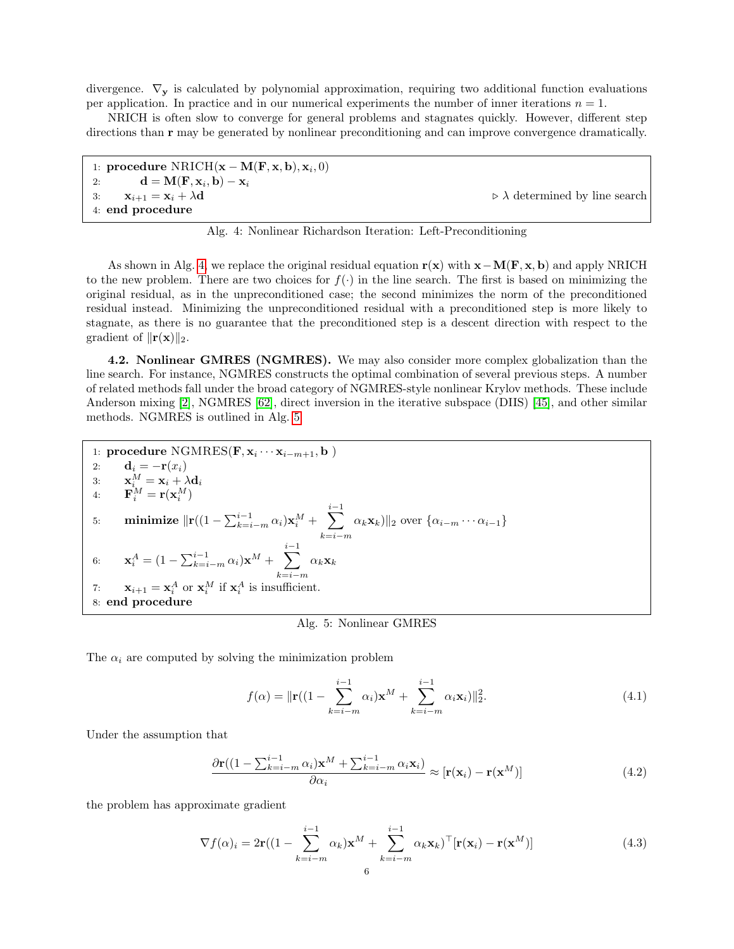divergence.  $\nabla_y$  is calculated by polynomial approximation, requiring two additional function evaluations per application. In practice and in our numerical experiments the number of inner iterations  $n = 1$ .

NRICH is often slow to converge for general problems and stagnates quickly. However, different step directions than r may be generated by nonlinear preconditioning and can improve convergence dramatically.

```
1: procedure NRICH(\mathbf{x}-\mathbf{M}(\mathbf{F}, \mathbf{x}, \mathbf{b}), \mathbf{x}_i, 0)2: \mathbf{d} = \mathbf{M}(\mathbf{F}, \mathbf{x}_i, \mathbf{b}) - \mathbf{x}_i3: \mathbf{x}_{i+1} = \mathbf{x}_i + \lambda \mathbf{d} \triangleright \lambda determined by line search
4: end procedure
```
Alg. 4: Nonlinear Richardson Iteration: Left-Preconditioning

As shown in Alg. [4,](#page-5-0) we replace the original residual equation  $r(x)$  with  $x-M(F, x, b)$  and apply NRICH to the new problem. There are two choices for  $f(\cdot)$  in the line search. The first is based on minimizing the original residual, as in the unpreconditioned case; the second minimizes the norm of the preconditioned residual instead. Minimizing the unpreconditioned residual with a preconditioned step is more likely to stagnate, as there is no guarantee that the preconditioned step is a descent direction with respect to the gradient of  $\|\mathbf{r}(\mathbf{x})\|_2$ .

4.2. Nonlinear GMRES (NGMRES). We may also consider more complex globalization than the line search. For instance, NGMRES constructs the optimal combination of several previous steps. A number of related methods fall under the broad category of NGMRES-style nonlinear Krylov methods. These include Anderson mixing [\[2\]](#page-26-0), NGMRES [\[62\]](#page-28-14), direct inversion in the iterative subspace (DIIS) [\[45\]](#page-28-15), and other similar methods. NGMRES is outlined in Alg. [5.](#page-5-1)

<span id="page-5-1"></span>\n- 1: **procedure** NGMRES(**F**, **x**<sub>i</sub> ··· **x**<sub>i-m+1</sub>, **b**)
\n- 2: 
$$
\mathbf{d}_i = -\mathbf{r}(x_i)
$$
\n- 3:  $\mathbf{x}_i^M = \mathbf{x}_i + \lambda \mathbf{d}_i$
\n- 4:  $\mathbf{F}_i^M = \mathbf{r}(\mathbf{x}_i^M)$
\n- 5: **minimize**  $\|\mathbf{r}((1 - \sum_{k=i-m}^{i-1} \alpha_i)\mathbf{x}_i^M + \sum_{k=i-m}^{i-1} \alpha_k \mathbf{x}_k)\|_2$  over  $\{\alpha_{i-m} \cdots \alpha_{i-1}\}$
\n- 6:  $\mathbf{x}_i^A = (1 - \sum_{k=i-m}^{i-1} \alpha_i)\mathbf{x}^M + \sum_{k=i-m}^{i-1} \alpha_k \mathbf{x}_k$
\n- 7:  $\mathbf{x}_{i+1} = \mathbf{x}_i^A$  or  $\mathbf{x}_i^M$  if  $\mathbf{x}_i^A$  is insufficient.
\n- 8: **end procedure**
\n

## Alg. 5: Nonlinear GMRES

The  $\alpha_i$  are computed by solving the minimization problem

$$
f(\alpha) = \|\mathbf{r}((1 - \sum_{k=i-m}^{i-1} \alpha_i)\mathbf{x}^M + \sum_{k=i-m}^{i-1} \alpha_i \mathbf{x}_i)\|_2^2.
$$
 (4.1)

Under the assumption that

$$
\frac{\partial \mathbf{r}((1 - \sum_{k=i-m}^{i-1} \alpha_i) \mathbf{x}^M + \sum_{k=i-m}^{i-1} \alpha_i \mathbf{x}_i)}{\partial \alpha_i} \approx [\mathbf{r}(\mathbf{x}_i) - \mathbf{r}(\mathbf{x}^M)]
$$
(4.2)

the problem has approximate gradient

$$
\nabla f(\alpha)_i = 2\mathbf{r}((1 - \sum_{k=i-m}^{i-1} \alpha_k)\mathbf{x}^M + \sum_{k=i-m}^{i-1} \alpha_k \mathbf{x}_k)^{\top}[\mathbf{r}(\mathbf{x}_i) - \mathbf{r}(\mathbf{x}^M)]
$$
(4.3)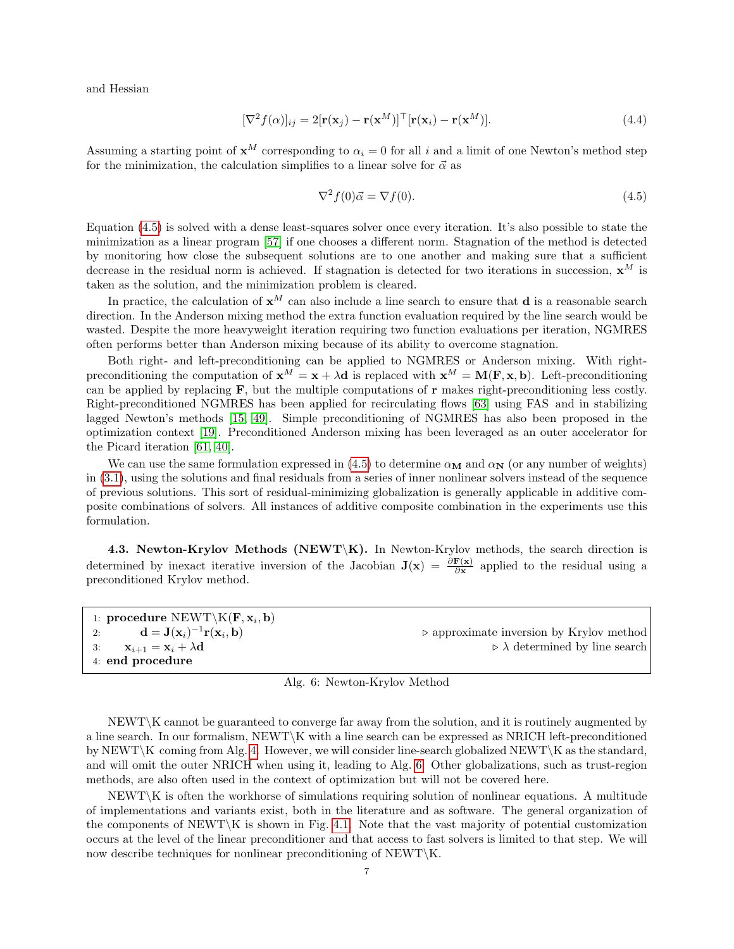and Hessian

$$
[\nabla^2 f(\alpha)]_{ij} = 2[\mathbf{r}(\mathbf{x}_j) - \mathbf{r}(\mathbf{x}^M)]^\top [\mathbf{r}(\mathbf{x}_i) - \mathbf{r}(\mathbf{x}^M)]. \tag{4.4}
$$

Assuming a starting point of  $x^M$  corresponding to  $\alpha_i = 0$  for all i and a limit of one Newton's method step for the minimization, the calculation simplifies to a linear solve for  $\vec{\alpha}$  as

<span id="page-6-1"></span>
$$
\nabla^2 f(0)\vec{\alpha} = \nabla f(0). \tag{4.5}
$$

Equation [\(4.5\)](#page-6-1) is solved with a dense least-squares solver once every iteration. It's also possible to state the minimization as a linear program [\[57\]](#page-28-16) if one chooses a different norm. Stagnation of the method is detected by monitoring how close the subsequent solutions are to one another and making sure that a sufficient decrease in the residual norm is achieved. If stagnation is detected for two iterations in succession,  $\mathbf{x}^M$  is taken as the solution, and the minimization problem is cleared.

In practice, the calculation of  $x^M$  can also include a line search to ensure that **d** is a reasonable search direction. In the Anderson mixing method the extra function evaluation required by the line search would be wasted. Despite the more heavyweight iteration requiring two function evaluations per iteration, NGMRES often performs better than Anderson mixing because of its ability to overcome stagnation.

Both right- and left-preconditioning can be applied to NGMRES or Anderson mixing. With rightpreconditioning the computation of  $x^M = x + \lambda d$  is replaced with  $x^M = M(F, x, b)$ . Left-preconditioning can be applied by replacing  $\mathbf{F}$ , but the multiple computations of  $\mathbf{r}$  makes right-preconditioning less costly. Right-preconditioned NGMRES has been applied for recirculating flows [\[63\]](#page-28-11) using FAS and in stabilizing lagged Newton's methods [\[15,](#page-27-18) [49\]](#page-28-17). Simple preconditioning of NGMRES has also been proposed in the optimization context [\[19\]](#page-27-19). Preconditioned Anderson mixing has been leveraged as an outer accelerator for the Picard iteration [\[61,](#page-28-18) [40\]](#page-28-19).

We can use the same formulation expressed in [\(4.5\)](#page-6-1) to determine  $\alpha_M$  and  $\alpha_N$  (or any number of weights) in [\(3.1\)](#page-1-1), using the solutions and final residuals from a series of inner nonlinear solvers instead of the sequence of previous solutions. This sort of residual-minimizing globalization is generally applicable in additive composite combinations of solvers. All instances of additive composite combination in the experiments use this formulation.

<span id="page-6-0"></span>4.3. Newton-Krylov Methods (NEWT\K). In Newton-Krylov methods, the search direction is determined by inexact iterative inversion of the Jacobian  $J(x) = \frac{\partial F(x)}{\partial x}$  applied to the residual using a preconditioned Krylov method.

<span id="page-6-2"></span>

| 1: procedure NEWT\K(F, $x_i$ , b)                                                    |                                                         |
|--------------------------------------------------------------------------------------|---------------------------------------------------------|
| 2: $\mathbf{d} = \mathbf{J}(\mathbf{x}_i)^{-1} \mathbf{r}(\mathbf{x}_i, \mathbf{b})$ | $\triangleright$ approximate inversion by Krylov method |
| 3: $\mathbf{x}_{i+1} = \mathbf{x}_i + \lambda \mathbf{d}$                            | $\triangleright \lambda$ determined by line search      |
| 4: end procedure                                                                     |                                                         |

|  | Alg. 6: Newton-Krylov Method |  |
|--|------------------------------|--|
|  |                              |  |

NEWT\K cannot be guaranteed to converge far away from the solution, and it is routinely augmented by a line search. In our formalism, NEWT\K with a line search can be expressed as NRICH left-preconditioned by NEWT\K coming from Alg. [4.](#page-5-0) However, we will consider line-search globalized NEWT\K as the standard, and will omit the outer NRICH when using it, leading to Alg. [6.](#page-6-2) Other globalizations, such as trust-region methods, are also often used in the context of optimization but will not be covered here.

NEWT\K is often the workhorse of simulations requiring solution of nonlinear equations. A multitude of implementations and variants exist, both in the literature and as software. The general organization of the components of  $NEWT\ K$  is shown in Fig. [4.1.](#page-7-0) Note that the vast majority of potential customization occurs at the level of the linear preconditioner and that access to fast solvers is limited to that step. We will now describe techniques for nonlinear preconditioning of  $NEWT\K$ .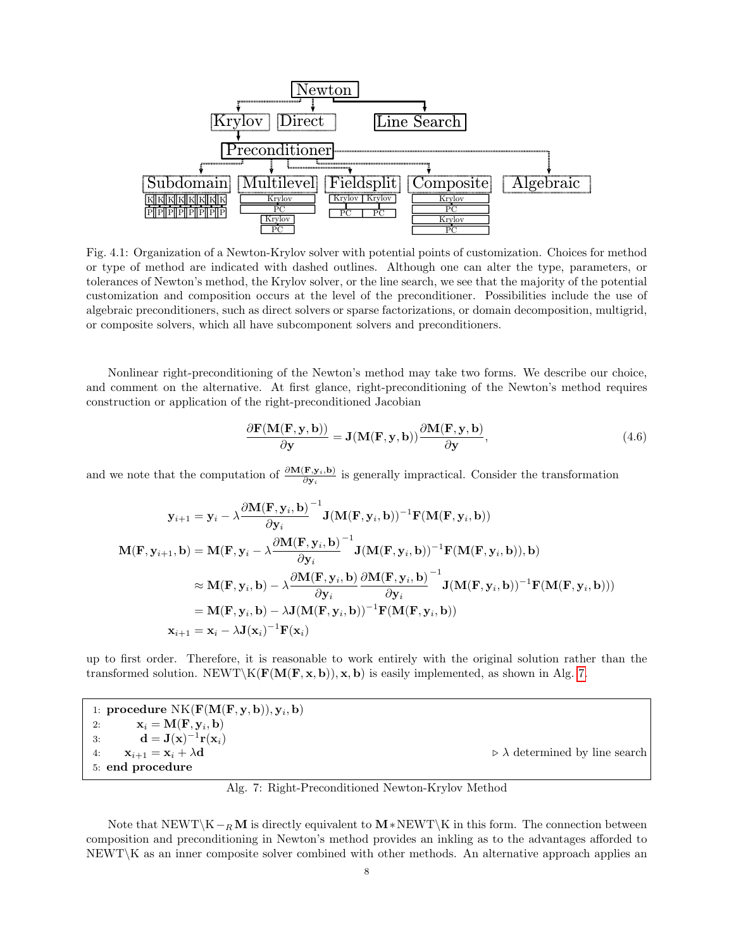<span id="page-7-0"></span>

Fig. 4.1: Organization of a Newton-Krylov solver with potential points of customization. Choices for method or type of method are indicated with dashed outlines. Although one can alter the type, parameters, or tolerances of Newton's method, the Krylov solver, or the line search, we see that the majority of the potential customization and composition occurs at the level of the preconditioner. Possibilities include the use of algebraic preconditioners, such as direct solvers or sparse factorizations, or domain decomposition, multigrid, or composite solvers, which all have subcomponent solvers and preconditioners.

Nonlinear right-preconditioning of the Newton's method may take two forms. We describe our choice, and comment on the alternative. At first glance, right-preconditioning of the Newton's method requires construction or application of the right-preconditioned Jacobian

<span id="page-7-2"></span>
$$
\frac{\partial \mathbf{F}(\mathbf{M}(\mathbf{F}, \mathbf{y}, \mathbf{b}))}{\partial \mathbf{y}} = \mathbf{J}(\mathbf{M}(\mathbf{F}, \mathbf{y}, \mathbf{b})) \frac{\partial \mathbf{M}(\mathbf{F}, \mathbf{y}, \mathbf{b})}{\partial \mathbf{y}},
$$
(4.6)

and we note that the computation of  $\frac{\partial M(F, y_i, b)}{\partial y_i}$  is generally impractical. Consider the transformation

$$
\mathbf{y}_{i+1} = \mathbf{y}_i - \lambda \frac{\partial \mathbf{M}(\mathbf{F}, \mathbf{y}_i, \mathbf{b})}{\partial \mathbf{y}_i}^{-1} \mathbf{J}(\mathbf{M}(\mathbf{F}, \mathbf{y}_i, \mathbf{b}))^{-1} \mathbf{F}(\mathbf{M}(\mathbf{F}, \mathbf{y}_i, \mathbf{b}))
$$
\n
$$
\mathbf{M}(\mathbf{F}, \mathbf{y}_{i+1}, \mathbf{b}) = \mathbf{M}(\mathbf{F}, \mathbf{y}_i - \lambda \frac{\partial \mathbf{M}(\mathbf{F}, \mathbf{y}_i, \mathbf{b})}{\partial \mathbf{y}_i}^{-1} \mathbf{J}(\mathbf{M}(\mathbf{F}, \mathbf{y}_i, \mathbf{b}))^{-1} \mathbf{F}(\mathbf{M}(\mathbf{F}, \mathbf{y}_i, \mathbf{b})), \mathbf{b})
$$
\n
$$
\approx \mathbf{M}(\mathbf{F}, \mathbf{y}_i, \mathbf{b}) - \lambda \frac{\partial \mathbf{M}(\mathbf{F}, \mathbf{y}_i, \mathbf{b})}{\partial \mathbf{y}_i} \frac{\partial \mathbf{M}(\mathbf{F}, \mathbf{y}_i, \mathbf{b})}{\partial \mathbf{y}_i}^{-1} \mathbf{J}(\mathbf{M}(\mathbf{F}, \mathbf{y}_i, \mathbf{b}))^{-1} \mathbf{F}(\mathbf{M}(\mathbf{F}, \mathbf{y}_i, \mathbf{b})))
$$
\n
$$
= \mathbf{M}(\mathbf{F}, \mathbf{y}_i, \mathbf{b}) - \lambda \mathbf{J}(\mathbf{M}(\mathbf{F}, \mathbf{y}_i, \mathbf{b}))^{-1} \mathbf{F}(\mathbf{M}(\mathbf{F}, \mathbf{y}_i, \mathbf{b}))
$$
\n
$$
\mathbf{x}_{i+1} = \mathbf{x}_i - \lambda \mathbf{J}(\mathbf{x}_i)^{-1} \mathbf{F}(\mathbf{x}_i)
$$

up to first order. Therefore, it is reasonable to work entirely with the original solution rather than the transformed solution. NEWT\K( $\mathbf{F}(\mathbf{M}(\mathbf{F}, \mathbf{x}, \mathbf{b}))$ , x, b) is easily implemented, as shown in Alg. [7.](#page-7-1)

<span id="page-7-1"></span>

| 1: procedure $NK(\mathbf{F}(\mathbf{M}(\mathbf{F}, \mathbf{y}, \mathbf{b})), \mathbf{y}_i, \mathbf{b})$ |                                                    |
|---------------------------------------------------------------------------------------------------------|----------------------------------------------------|
| $\mathbf{x}_i = \mathbf{M}(\mathbf{F}, \mathbf{y}_i, \mathbf{b})$<br>2:                                 |                                                    |
| 3: $\mathbf{d} = \mathbf{J}(\mathbf{x})^{-1} \mathbf{r}(\mathbf{x}_i)$                                  |                                                    |
| 4: $\mathbf{x}_{i+1} = \mathbf{x}_i + \lambda \mathbf{d}$                                               | $\triangleright \lambda$ determined by line search |
| 5: end procedure                                                                                        |                                                    |

Alg. 7: Right-Preconditioned Newton-Krylov Method

Note that  $NEWT\K -<sub>R</sub>M$  is directly equivalent to  $M*NEWT\K$  in this form. The connection between composition and preconditioning in Newton's method provides an inkling as to the advantages afforded to NEWT\K as an inner composite solver combined with other methods. An alternative approach applies an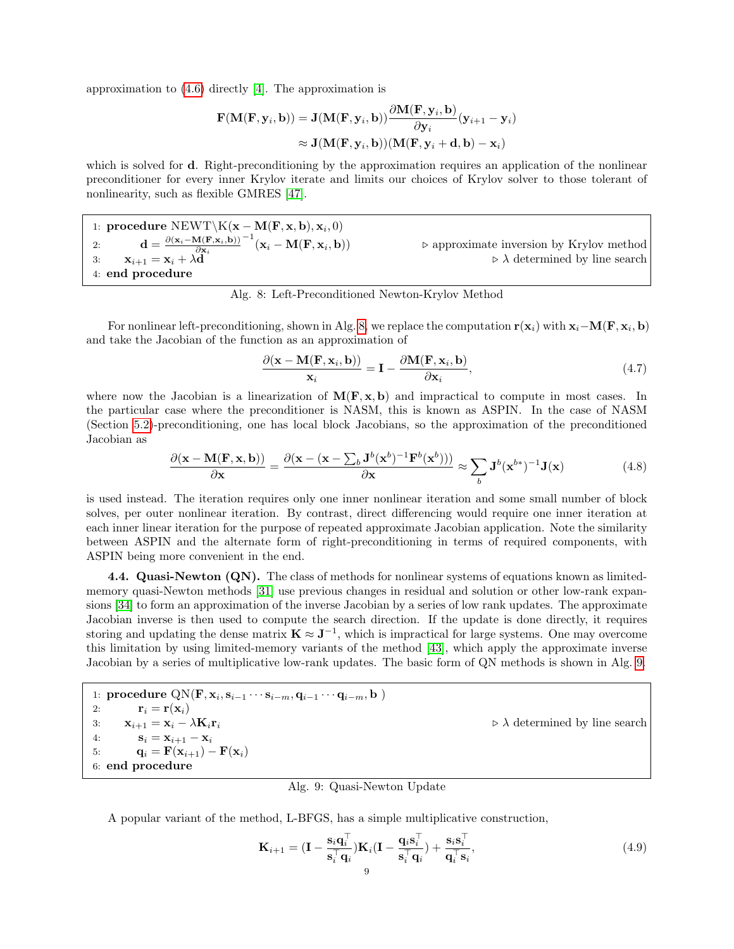approximation to [\(4.6\)](#page-7-2) directly [\[4\]](#page-27-20). The approximation is

$$
\mathbf{F}(\mathbf{M}(\mathbf{F}, \mathbf{y}_i, \mathbf{b})) = \mathbf{J}(\mathbf{M}(\mathbf{F}, \mathbf{y}_i, \mathbf{b})) \frac{\partial \mathbf{M}(\mathbf{F}, \mathbf{y}_i, \mathbf{b})}{\partial \mathbf{y}_i} (\mathbf{y}_{i+1} - \mathbf{y}_i)
$$
  

$$
\approx \mathbf{J}(\mathbf{M}(\mathbf{F}, \mathbf{y}_i, \mathbf{b})) (\mathbf{M}(\mathbf{F}, \mathbf{y}_i + \mathbf{d}, \mathbf{b}) - \mathbf{x}_i)
$$

which is solved for **d**. Right-preconditioning by the approximation requires an application of the nonlinear preconditioner for every inner Krylov iterate and limits our choices of Krylov solver to those tolerant of nonlinearity, such as flexible GMRES [\[47\]](#page-28-20).

<span id="page-8-0"></span>1: procedure NEWT\n
$$
\setminus K(\mathbf{x} - \mathbf{M}(\mathbf{F}, \mathbf{x}, \mathbf{b}), \mathbf{x}_i, 0)
$$
\n2:  $\mathbf{d} = \frac{\partial (\mathbf{x}_i - \mathbf{M}(\mathbf{F}, \mathbf{x}_i, \mathbf{b}))}{\partial \mathbf{x}_i}^{-1}(\mathbf{x}_i - \mathbf{M}(\mathbf{F}, \mathbf{x}_i, \mathbf{b}))$ \n3:  $\mathbf{x}_{i+1} = \mathbf{x}_i + \lambda \mathbf{d}$ \n4: **end procedure**\n $\triangleright$  A determined by line search

Alg. 8: Left-Preconditioned Newton-Krylov Method

For nonlinear left-preconditioning, shown in Alg. [8,](#page-8-0) we replace the computation  $r(x_i)$  with  $x_i-M(F, x_i, b)$ and take the Jacobian of the function as an approximation of

$$
\frac{\partial(\mathbf{x} - \mathbf{M}(\mathbf{F}, \mathbf{x}_i, \mathbf{b}))}{\mathbf{x}_i} = \mathbf{I} - \frac{\partial \mathbf{M}(\mathbf{F}, \mathbf{x}_i, \mathbf{b})}{\partial \mathbf{x}_i},\tag{4.7}
$$

where now the Jacobian is a linearization of  $M(F, x, b)$  and impractical to compute in most cases. In the particular case where the preconditioner is NASM, this is known as ASPIN. In the case of NASM (Section [5.2\)](#page-11-0)-preconditioning, one has local block Jacobians, so the approximation of the preconditioned Jacobian as

$$
\frac{\partial(\mathbf{x} - \mathbf{M}(\mathbf{F}, \mathbf{x}, \mathbf{b}))}{\partial \mathbf{x}} = \frac{\partial(\mathbf{x} - (\mathbf{x} - \sum_{b} \mathbf{J}^{b}(\mathbf{x}^{b})^{-1} \mathbf{F}^{b}(\mathbf{x}^{b})))}{\partial \mathbf{x}} \approx \sum_{b} \mathbf{J}^{b}(\mathbf{x}^{b*})^{-1} \mathbf{J}(\mathbf{x})
$$
(4.8)

is used instead. The iteration requires only one inner nonlinear iteration and some small number of block solves, per outer nonlinear iteration. By contrast, direct differencing would require one inner iteration at each inner linear iteration for the purpose of repeated approximate Jacobian application. Note the similarity between ASPIN and the alternate form of right-preconditioning in terms of required components, with ASPIN being more convenient in the end.

<span id="page-8-3"></span>4.4. Quasi-Newton (QN). The class of methods for nonlinear systems of equations known as limitedmemory quasi-Newton methods [\[31\]](#page-27-21) use previous changes in residual and solution or other low-rank expansions [\[34\]](#page-27-22) to form an approximation of the inverse Jacobian by a series of low rank updates. The approximate Jacobian inverse is then used to compute the search direction. If the update is done directly, it requires storing and updating the dense matrix  $\mathbf{K} \approx \mathbf{J}^{-1}$ , which is impractical for large systems. One may overcome this limitation by using limited-memory variants of the method [\[43\]](#page-28-21), which apply the approximate inverse Jacobian by a series of multiplicative low-rank updates. The basic form of QN methods is shown in Alg. [9.](#page-8-1)

<span id="page-8-1"></span>1: procedure  $\text{QN}(\mathbf{F}, \mathbf{x}_i, \mathbf{s}_{i-1} \cdots \mathbf{s}_{i-m}, \mathbf{q}_{i-1} \cdots \mathbf{q}_{i-m}, \mathbf{b})$ 2:  $\mathbf{r}_i = \mathbf{r}(\mathbf{x}_i)$ 3:  $\mathbf{x}_{i+1} = \mathbf{x}_i - \lambda \mathbf{K}_i \mathbf{r}_i$  .  $\triangleright \lambda$  determined by line search 4:  $S_i = X_{i+1} - X_i$ <br>5:  $q_i = F(X_{i+1}) \mathbf{q}_i = \mathbf{F}(\mathbf{x}_{i+1}) - \mathbf{F}(\mathbf{x}_i)$ 6: end procedure

Alg. 9: Quasi-Newton Update

A popular variant of the method, L-BFGS, has a simple multiplicative construction,

<span id="page-8-2"></span>
$$
\mathbf{K}_{i+1} = (\mathbf{I} - \frac{\mathbf{s}_i \mathbf{q}_i^{\top}}{\mathbf{s}_i^{\top} \mathbf{q}_i}) \mathbf{K}_i (\mathbf{I} - \frac{\mathbf{q}_i \mathbf{s}_i^{\top}}{\mathbf{s}_i^{\top} \mathbf{q}_i}) + \frac{\mathbf{s}_i \mathbf{s}_i^{\top}}{\mathbf{q}_i^{\top} \mathbf{s}_i},
$$
(4.9)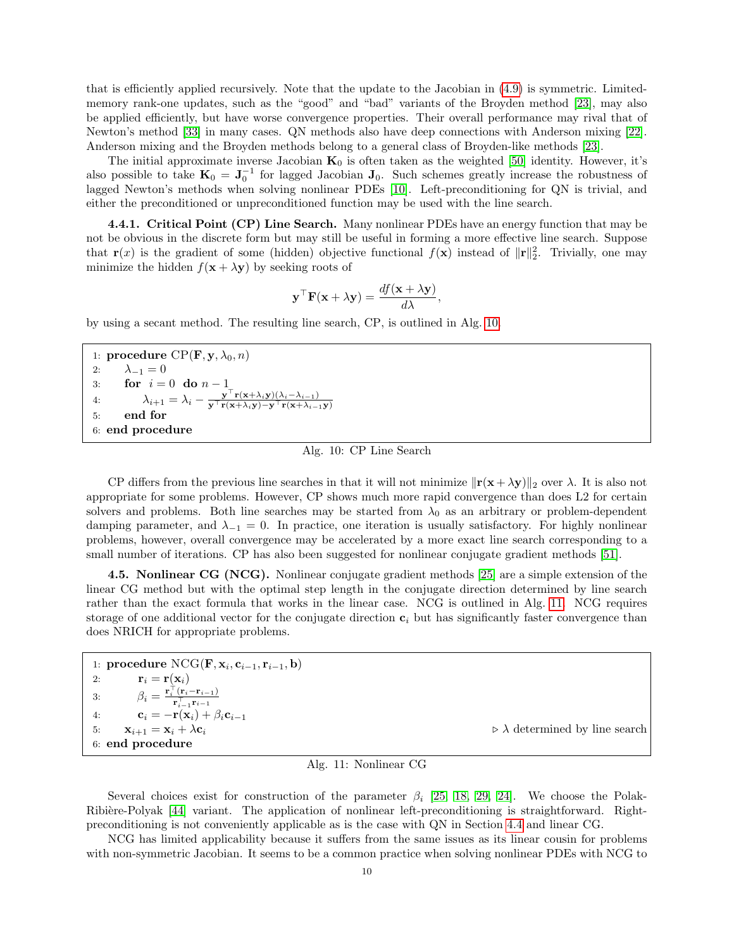that is efficiently applied recursively. Note that the update to the Jacobian in [\(4.9\)](#page-8-2) is symmetric. Limitedmemory rank-one updates, such as the "good" and "bad" variants of the Broyden method [\[23\]](#page-27-23), may also be applied efficiently, but have worse convergence properties. Their overall performance may rival that of Newton's method [\[33\]](#page-27-24) in many cases. QN methods also have deep connections with Anderson mixing [\[22\]](#page-27-25). Anderson mixing and the Broyden methods belong to a general class of Broyden-like methods [\[23\]](#page-27-23).

The initial approximate inverse Jacobian  $\mathbf{K}_0$  is often taken as the weighted [\[50\]](#page-28-22) identity. However, it's also possible to take  $\mathbf{K}_0 = \mathbf{J}_0^{-1}$  for lagged Jacobian  $\mathbf{J}_0$ . Such schemes greatly increase the robustness of lagged Newton's methods when solving nonlinear PDEs [\[10\]](#page-27-26). Left-preconditioning for QN is trivial, and either the preconditioned or unpreconditioned function may be used with the line search.

<span id="page-9-2"></span>4.4.1. Critical Point (CP) Line Search. Many nonlinear PDEs have an energy function that may be not be obvious in the discrete form but may still be useful in forming a more effective line search. Suppose that  $\mathbf{r}(x)$  is the gradient of some (hidden) objective functional  $f(\mathbf{x})$  instead of  $\|\mathbf{r}\|_2^2$ . Trivially, one may minimize the hidden  $f(\mathbf{x} + \lambda \mathbf{y})$  by seeking roots of

$$
\mathbf{y}^\top \mathbf{F}(\mathbf{x} + \lambda \mathbf{y}) = \frac{df(\mathbf{x} + \lambda \mathbf{y})}{d\lambda},
$$

by using a secant method. The resulting line search, CP, is outlined in Alg. [10.](#page-9-0)

<span id="page-9-0"></span>1: procedure  $\text{CP}(\mathbf{F}, \mathbf{y}, \lambda_0, n)$ 2:  $\lambda_{-1} = 0$ 3: **for**  $i = 0$  **do**  $n - 1$ 4:  $\lambda_{i+1} = \lambda_i - \frac{\mathbf{y}^\top \mathbf{r}(\mathbf{x} + \lambda_i \mathbf{y})(\lambda_i - \lambda_{i-1})}{\mathbf{y}^\top \mathbf{r}(\mathbf{x} + \lambda_i \mathbf{y}) - \mathbf{y}^\top \mathbf{r}(\mathbf{x} + \lambda_{i-1})}$  $\mathbf{y}^\top \mathbf{r}(\mathbf{x}+\lambda_i \mathbf{y})-\mathbf{y}^\top \mathbf{r}(\mathbf{x}+\lambda_{i-1} \mathbf{y})$ 5: end for 6: end procedure

Alg. 10: CP Line Search

CP differs from the previous line searches in that it will not minimize  $\|\mathbf{r}(\mathbf{x} + \lambda \mathbf{y})\|_2$  over  $\lambda$ . It is also not appropriate for some problems. However, CP shows much more rapid convergence than does L2 for certain solvers and problems. Both line searches may be started from  $\lambda_0$  as an arbitrary or problem-dependent damping parameter, and  $\lambda_{-1} = 0$ . In practice, one iteration is usually satisfactory. For highly nonlinear problems, however, overall convergence may be accelerated by a more exact line search corresponding to a small number of iterations. CP has also been suggested for nonlinear conjugate gradient methods [\[51\]](#page-28-23).

4.5. Nonlinear CG (NCG). Nonlinear conjugate gradient methods [\[25\]](#page-27-27) are a simple extension of the linear CG method but with the optimal step length in the conjugate direction determined by line search rather than the exact formula that works in the linear case. NCG is outlined in Alg. [11.](#page-9-1) NCG requires storage of one additional vector for the conjugate direction  $c_i$  but has significantly faster convergence than does NRICH for appropriate problems.

<span id="page-9-1"></span>

|    | 1: procedure $NCG(\mathbf{F}, \mathbf{x}_i, \mathbf{c}_{i-1}, \mathbf{r}_{i-1}, \mathbf{b})$                         |                                                    |
|----|----------------------------------------------------------------------------------------------------------------------|----------------------------------------------------|
| 2: | $\mathbf{r}_i = \mathbf{r}(\mathbf{x}_i)$                                                                            |                                                    |
|    | 3: $\beta_i = \frac{\mathbf{r}_i^{\top}(\mathbf{r}_i - \mathbf{r}_{i-1})}{\mathbf{r}_{i-1}^{\top} \mathbf{r}_{i-1}}$ |                                                    |
|    | 4: $\mathbf{c}_i = -\mathbf{r}(\mathbf{x}_i) + \beta_i \mathbf{c}_{i-1}$                                             |                                                    |
| 5: | $\mathbf{x}_{i+1} = \mathbf{x}_i + \lambda \mathbf{c}_i$                                                             | $\triangleright \lambda$ determined by line search |
|    | 6: end procedure                                                                                                     |                                                    |

## Alg. 11: Nonlinear CG

Several choices exist for construction of the parameter  $\beta_i$  [\[25,](#page-27-27) [18,](#page-27-28) [29,](#page-27-29) [24\]](#page-27-30). We choose the Polak-Ribière-Polyak [\[44\]](#page-28-24) variant. The application of nonlinear left-preconditioning is straightforward. Rightpreconditioning is not conveniently applicable as is the case with QN in Section [4.4](#page-8-3) and linear CG.

NCG has limited applicability because it suffers from the same issues as its linear cousin for problems with non-symmetric Jacobian. It seems to be a common practice when solving nonlinear PDEs with NCG to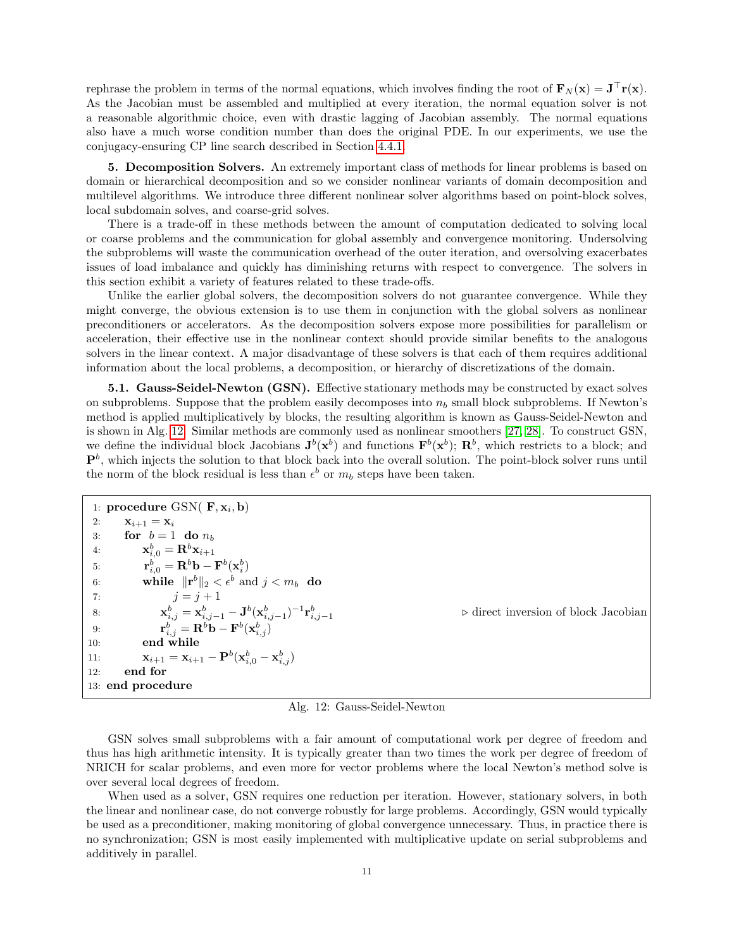rephrase the problem in terms of the normal equations, which involves finding the root of  $\mathbf{F}_N(\mathbf{x}) = \mathbf{J}^\top \mathbf{r}(\mathbf{x})$ . As the Jacobian must be assembled and multiplied at every iteration, the normal equation solver is not a reasonable algorithmic choice, even with drastic lagging of Jacobian assembly. The normal equations also have a much worse condition number than does the original PDE. In our experiments, we use the conjugacy-ensuring CP line search described in Section [4.4.1.](#page-9-2)

<span id="page-10-0"></span>5. Decomposition Solvers. An extremely important class of methods for linear problems is based on domain or hierarchical decomposition and so we consider nonlinear variants of domain decomposition and multilevel algorithms. We introduce three different nonlinear solver algorithms based on point-block solves, local subdomain solves, and coarse-grid solves.

There is a trade-off in these methods between the amount of computation dedicated to solving local or coarse problems and the communication for global assembly and convergence monitoring. Undersolving the subproblems will waste the communication overhead of the outer iteration, and oversolving exacerbates issues of load imbalance and quickly has diminishing returns with respect to convergence. The solvers in this section exhibit a variety of features related to these trade-offs.

Unlike the earlier global solvers, the decomposition solvers do not guarantee convergence. While they might converge, the obvious extension is to use them in conjunction with the global solvers as nonlinear preconditioners or accelerators. As the decomposition solvers expose more possibilities for parallelism or acceleration, their effective use in the nonlinear context should provide similar benefits to the analogous solvers in the linear context. A major disadvantage of these solvers is that each of them requires additional information about the local problems, a decomposition, or hierarchy of discretizations of the domain.

5.1. Gauss-Seidel-Newton (GSN). Effective stationary methods may be constructed by exact solves on subproblems. Suppose that the problem easily decomposes into  $n<sub>b</sub>$  small block subproblems. If Newton's method is applied multiplicatively by blocks, the resulting algorithm is known as Gauss-Seidel-Newton and is shown in Alg. [12.](#page-10-1) Similar methods are commonly used as nonlinear smoothers [\[27,](#page-27-31) [28\]](#page-27-32). To construct GSN, we define the individual block Jacobians  $J^b(x^b)$  and functions  $\mathbf{F}^b(x^b)$ ;  $\mathbf{R}^b$ , which restricts to a block; and  $\mathbf{P}^b$ , which injects the solution to that block back into the overall solution. The point-block solver runs until the norm of the block residual is less than  $\epsilon^b$  or  $m_b$  steps have been taken.

<span id="page-10-1"></span>

|     | 1: procedure GSN( $\mathbf{F}, \mathbf{x}_i, \mathbf{b}$ )                                                |                                                     |
|-----|-----------------------------------------------------------------------------------------------------------|-----------------------------------------------------|
| 2:  | $\mathbf{x}_{i+1} = \mathbf{x}_i$                                                                         |                                                     |
| 3:  | for $b=1$ do $n_b$                                                                                        |                                                     |
| 4:  | $\mathbf{x}_{i.0}^b = \mathbf{R}^b \mathbf{x}_{i+1}$                                                      |                                                     |
| 5:  | $\mathbf{r}_{i,0}^b = \mathbf{R}^b \mathbf{b} - \mathbf{F}^b(\mathbf{x}_i^b)$                             |                                                     |
| 6:  | while $\ \mathbf{r}^{b}\ _{2} < \epsilon^{b}$ and $j < m_{b}$ do                                          |                                                     |
| 7:  | $i = i + 1$                                                                                               |                                                     |
| -8: | $\mathbf{x}_{i,j}^b = \mathbf{x}_{i,j-1}^b - \mathbf{J}^b(\mathbf{x}_{i,j-1}^b)^{-1}\mathbf{r}_{i,j-1}^b$ | $\triangleright$ direct inversion of block Jacobian |
| 9:  | $\mathbf{r}_{i,i}^{b} = \mathbf{R}^{b} \mathbf{b} - \mathbf{F}^{b} (\mathbf{x}_{i,i}^{b})$                |                                                     |
| 10: | end while                                                                                                 |                                                     |
| 11: | $\mathbf{x}_{i+1} = \mathbf{x}_{i+1} - \mathbf{P}^b(\mathbf{x}_{i.0}^b - \mathbf{x}_{i.0}^b)$             |                                                     |
| 12: | end for                                                                                                   |                                                     |
|     | 13: end procedure                                                                                         |                                                     |

Alg. 12: Gauss-Seidel-Newton

GSN solves small subproblems with a fair amount of computational work per degree of freedom and thus has high arithmetic intensity. It is typically greater than two times the work per degree of freedom of NRICH for scalar problems, and even more for vector problems where the local Newton's method solve is over several local degrees of freedom.

When used as a solver, GSN requires one reduction per iteration. However, stationary solvers, in both the linear and nonlinear case, do not converge robustly for large problems. Accordingly, GSN would typically be used as a preconditioner, making monitoring of global convergence unnecessary. Thus, in practice there is no synchronization; GSN is most easily implemented with multiplicative update on serial subproblems and additively in parallel.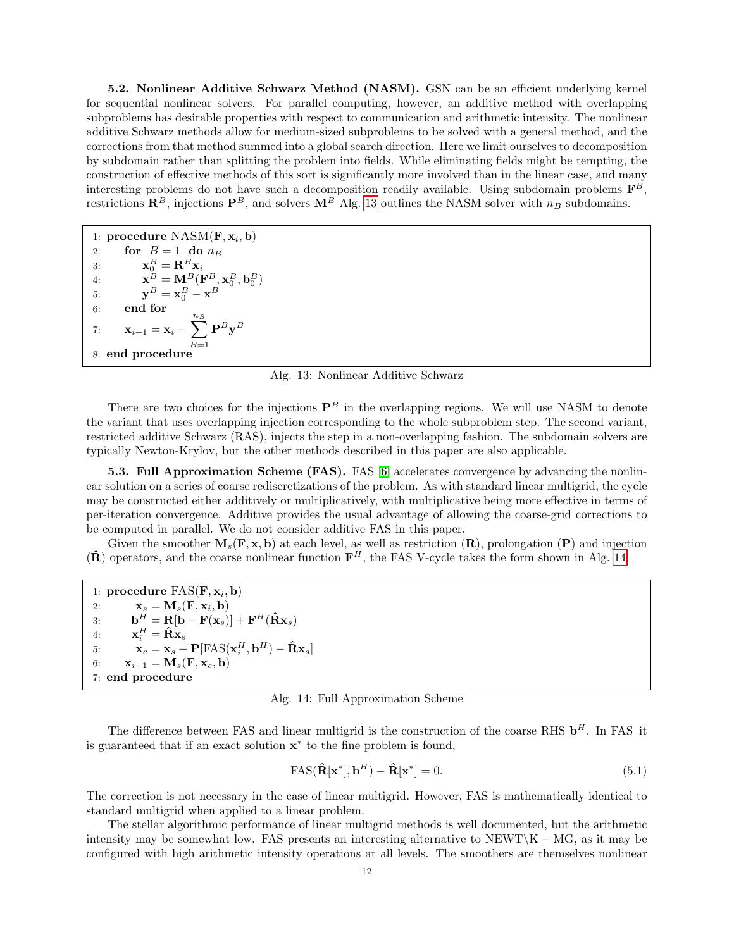<span id="page-11-0"></span>5.2. Nonlinear Additive Schwarz Method (NASM). GSN can be an efficient underlying kernel for sequential nonlinear solvers. For parallel computing, however, an additive method with overlapping subproblems has desirable properties with respect to communication and arithmetic intensity. The nonlinear additive Schwarz methods allow for medium-sized subproblems to be solved with a general method, and the corrections from that method summed into a global search direction. Here we limit ourselves to decomposition by subdomain rather than splitting the problem into fields. While eliminating fields might be tempting, the construction of effective methods of this sort is significantly more involved than in the linear case, and many interesting problems do not have such a decomposition readily available. Using subdomain problems  $\mathbf{F}^{B}$ , restrictions  $\mathbb{R}^B$ , injections  $\mathbb{P}^B$ , and solvers  $\mathbb{M}^B$  Alg. [13](#page-11-1) outlines the NASM solver with  $n_B$  subdomains.

<span id="page-11-1"></span>1: procedure  $\text{NASM}(\mathbf{F}, \mathbf{x}_i, \mathbf{b})$ 2: for  $B = 1$  do  $n_B$ 3:  $\mathbf{x}_0^B = \mathbf{R}^B \mathbf{x}_i$ 4:  $\mathbf{x}_{_-}^B = \mathbf{M}_{_-}^B(\mathbf{F}_{_-}^B, \mathbf{x}_{0}^B, \mathbf{b}_{0}^B)$ 5:  $y^B = x_0^B - x^B$ 6: end for 7:  $\mathbf{x}_{i+1} = \mathbf{x}_i - \sum^{n_B}$  $B=1$  $\mathbf{P}^B\mathbf{y}^B$ 8: end procedure

Alg. 13: Nonlinear Additive Schwarz

There are two choices for the injections  $\mathbf{P}^B$  in the overlapping regions. We will use NASM to denote the variant that uses overlapping injection corresponding to the whole subproblem step. The second variant, restricted additive Schwarz (RAS), injects the step in a non-overlapping fashion. The subdomain solvers are typically Newton-Krylov, but the other methods described in this paper are also applicable.

5.3. Full Approximation Scheme (FAS). FAS [\[6\]](#page-27-33) accelerates convergence by advancing the nonlinear solution on a series of coarse rediscretizations of the problem. As with standard linear multigrid, the cycle may be constructed either additively or multiplicatively, with multiplicative being more effective in terms of per-iteration convergence. Additive provides the usual advantage of allowing the coarse-grid corrections to be computed in parallel. We do not consider additive FAS in this paper.

Given the smoother  $M_s(\mathbf{F}, \mathbf{x}, \mathbf{b})$  at each level, as well as restriction  $(\mathbf{R})$ , prolongation  $(\mathbf{P})$  and injection  $(\hat{\mathbf{R}})$  operators, and the coarse nonlinear function  $\mathbf{F}^H$ , the FAS V-cycle takes the form shown in Alg. [14.](#page-11-2)

<span id="page-11-2"></span>

| 1: procedure $FAS(F, x_i, b)$                                                                                             |
|---------------------------------------------------------------------------------------------------------------------------|
| $\mathbf{x}_s = \mathbf{M}_s(\mathbf{F}, \mathbf{x}_i, \mathbf{b})$<br>2:                                                 |
| $\mathbf{b}^H = \mathbf{R}[\mathbf{b} - \mathbf{F}(\mathbf{x}_s)] + \mathbf{F}^H(\hat{\mathbf{R}}\mathbf{x}_s)$<br>3:     |
| $\mathbf{x}_i^H = \hat{\mathbf{R}} \mathbf{x}_s$<br>4:                                                                    |
| $\mathbf{x}_c = \mathbf{x}_s + \mathbf{P}[\text{FAS}(\mathbf{x}_i^H, \mathbf{b}^H) - \hat{\mathbf{R}}\mathbf{x}_s]$<br>5: |
| $\mathbf{x}_{i+1} = \mathbf{M}_s(\mathbf{F}, \mathbf{x}_c, \mathbf{b})$<br>6:                                             |
| 7: end procedure                                                                                                          |

Alg. 14: Full Approximation Scheme

The difference between FAS and linear multigrid is the construction of the coarse RHS  $\mathbf{b}^H$ . In FAS it is guaranteed that if an exact solution x ∗ to the fine problem is found,

$$
FAS(\hat{\mathbf{R}}[\mathbf{x}^*], \mathbf{b}^H) - \hat{\mathbf{R}}[\mathbf{x}^*] = 0.
$$
\n(5.1)

The correction is not necessary in the case of linear multigrid. However, FAS is mathematically identical to standard multigrid when applied to a linear problem.

The stellar algorithmic performance of linear multigrid methods is well documented, but the arithmetic intensity may be somewhat low. FAS presents an interesting alternative to NEWT\K – MG, as it may be configured with high arithmetic intensity operations at all levels. The smoothers are themselves nonlinear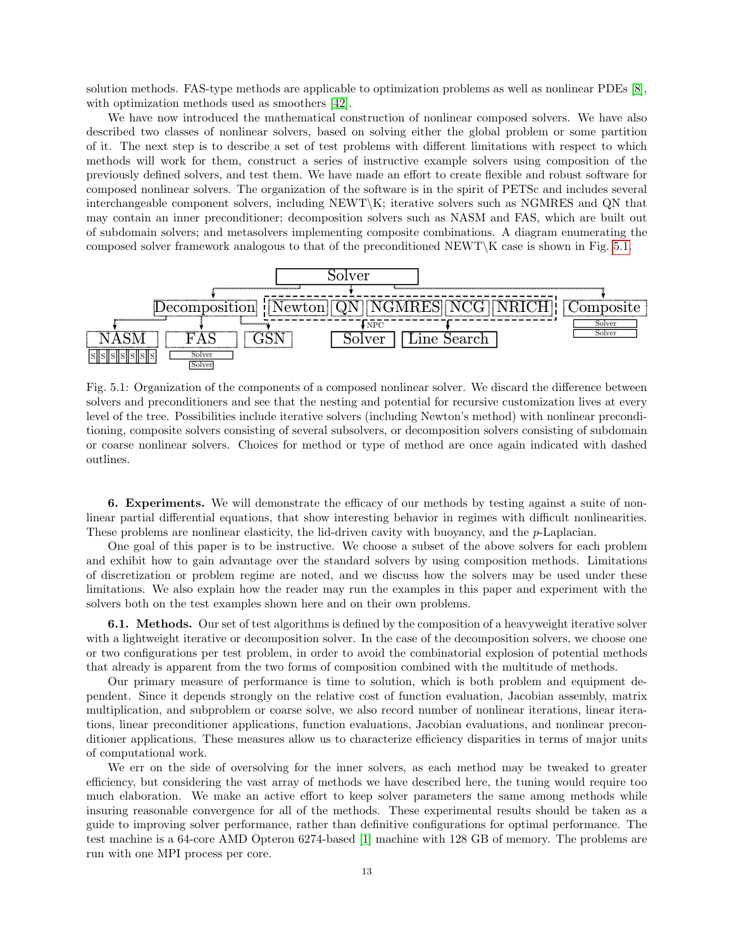solution methods. FAS-type methods are applicable to optimization problems as well as nonlinear PDEs [\[8\]](#page-27-34), with optimization methods used as smoothers [\[42\]](#page-28-25).

We have now introduced the mathematical construction of nonlinear composed solvers. We have also described two classes of nonlinear solvers, based on solving either the global problem or some partition of it. The next step is to describe a set of test problems with different limitations with respect to which methods will work for them, construct a series of instructive example solvers using composition of the previously defined solvers, and test them. We have made an effort to create flexible and robust software for composed nonlinear solvers. The organization of the software is in the spirit of PETSc and includes several interchangeable component solvers, including NEWT\K; iterative solvers such as NGMRES and QN that may contain an inner preconditioner; decomposition solvers such as NASM and FAS, which are built out of subdomain solvers; and metasolvers implementing composite combinations. A diagram enumerating the composed solver framework analogous to that of the preconditioned NEWT\K case is shown in Fig. [5.1.](#page-12-0)

<span id="page-12-0"></span>

Fig. 5.1: Organization of the components of a composed nonlinear solver. We discard the difference between solvers and preconditioners and see that the nesting and potential for recursive customization lives at every level of the tree. Possibilities include iterative solvers (including Newton's method) with nonlinear preconditioning, composite solvers consisting of several subsolvers, or decomposition solvers consisting of subdomain or coarse nonlinear solvers. Choices for method or type of method are once again indicated with dashed outlines.

6. Experiments. We will demonstrate the efficacy of our methods by testing against a suite of nonlinear partial differential equations, that show interesting behavior in regimes with difficult nonlinearities. These problems are nonlinear elasticity, the lid-driven cavity with buoyancy, and the p-Laplacian.

One goal of this paper is to be instructive. We choose a subset of the above solvers for each problem and exhibit how to gain advantage over the standard solvers by using composition methods. Limitations of discretization or problem regime are noted, and we discuss how the solvers may be used under these limitations. We also explain how the reader may run the examples in this paper and experiment with the solvers both on the test examples shown here and on their own problems.

6.1. Methods. Our set of test algorithms is defined by the composition of a heavyweight iterative solver with a lightweight iterative or decomposition solver. In the case of the decomposition solvers, we choose one or two configurations per test problem, in order to avoid the combinatorial explosion of potential methods that already is apparent from the two forms of composition combined with the multitude of methods.

Our primary measure of performance is time to solution, which is both problem and equipment dependent. Since it depends strongly on the relative cost of function evaluation, Jacobian assembly, matrix multiplication, and subproblem or coarse solve, we also record number of nonlinear iterations, linear iterations, linear preconditioner applications, function evaluations, Jacobian evaluations, and nonlinear preconditioner applications. These measures allow us to characterize efficiency disparities in terms of major units of computational work.

We err on the side of oversolving for the inner solvers, as each method may be tweaked to greater efficiency, but considering the vast array of methods we have described here, the tuning would require too much elaboration. We make an active effort to keep solver parameters the same among methods while insuring reasonable convergence for all of the methods. These experimental results should be taken as a guide to improving solver performance, rather than definitive configurations for optimal performance. The test machine is a 64-core AMD Opteron 6274-based [\[1\]](#page-26-1) machine with 128 GB of memory. The problems are run with one MPI process per core.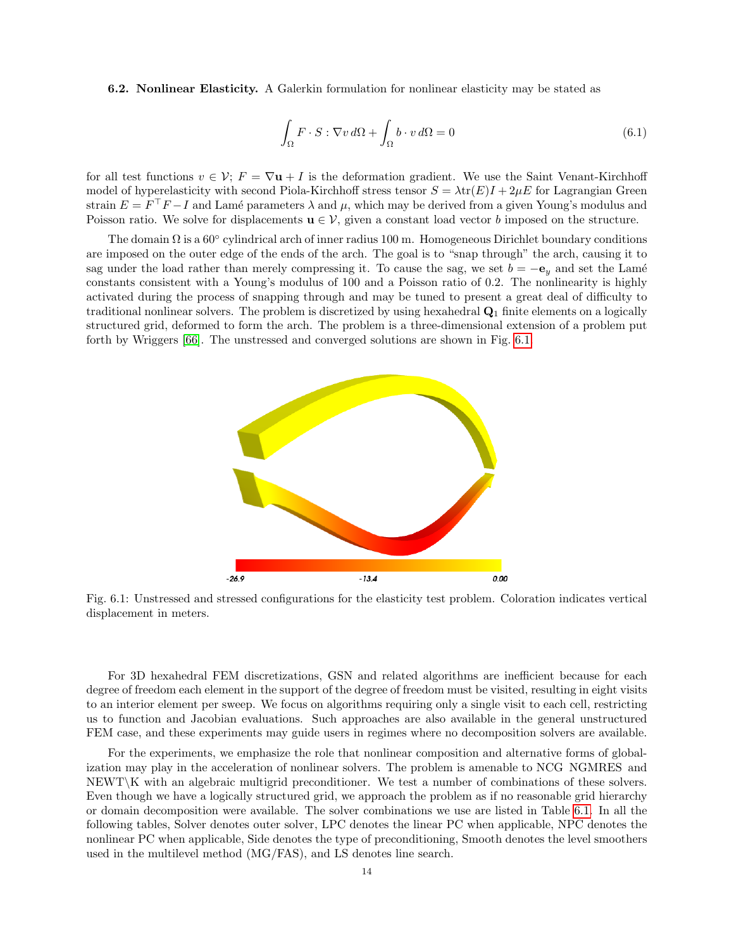<span id="page-13-1"></span>6.2. Nonlinear Elasticity. A Galerkin formulation for nonlinear elasticity may be stated as

$$
\int_{\Omega} F \cdot S : \nabla v \, d\Omega + \int_{\Omega} b \cdot v \, d\Omega = 0 \tag{6.1}
$$

for all test functions  $v \in \mathcal{V}$ ;  $F = \nabla u + I$  is the deformation gradient. We use the Saint Venant-Kirchhoff model of hyperelasticity with second Piola-Kirchhoff stress tensor  $S = \lambda tr(E)I + 2\mu E$  for Lagrangian Green strain  $E = F^T F - I$  and Lamé parameters  $\lambda$  and  $\mu$ , which may be derived from a given Young's modulus and Poisson ratio. We solve for displacements  $\mathbf{u} \in \mathcal{V}$ , given a constant load vector b imposed on the structure.

The domain  $\Omega$  is a 60 $\degree$  cylindrical arch of inner radius 100 m. Homogeneous Dirichlet boundary conditions are imposed on the outer edge of the ends of the arch. The goal is to "snap through" the arch, causing it to sag under the load rather than merely compressing it. To cause the sag, we set  $b = -e_y$  and set the Lamé constants consistent with a Young's modulus of 100 and a Poisson ratio of 0.2. The nonlinearity is highly activated during the process of snapping through and may be tuned to present a great deal of difficulty to traditional nonlinear solvers. The problem is discretized by using hexahedral  $\mathbf{Q}_1$  finite elements on a logically structured grid, deformed to form the arch. The problem is a three-dimensional extension of a problem put forth by Wriggers [\[66\]](#page-28-26). The unstressed and converged solutions are shown in Fig. [6.1.](#page-13-0)

<span id="page-13-0"></span>

Fig. 6.1: Unstressed and stressed configurations for the elasticity test problem. Coloration indicates vertical displacement in meters.

For 3D hexahedral FEM discretizations, GSN and related algorithms are inefficient because for each degree of freedom each element in the support of the degree of freedom must be visited, resulting in eight visits to an interior element per sweep. We focus on algorithms requiring only a single visit to each cell, restricting us to function and Jacobian evaluations. Such approaches are also available in the general unstructured FEM case, and these experiments may guide users in regimes where no decomposition solvers are available.

For the experiments, we emphasize the role that nonlinear composition and alternative forms of globalization may play in the acceleration of nonlinear solvers. The problem is amenable to NCG NGMRES and NEWT\K with an algebraic multigrid preconditioner. We test a number of combinations of these solvers. Even though we have a logically structured grid, we approach the problem as if no reasonable grid hierarchy or domain decomposition were available. The solver combinations we use are listed in Table [6.1.](#page-14-0) In all the following tables, Solver denotes outer solver, LPC denotes the linear PC when applicable, NPC denotes the nonlinear PC when applicable, Side denotes the type of preconditioning, Smooth denotes the level smoothers used in the multilevel method (MG/FAS), and LS denotes line search.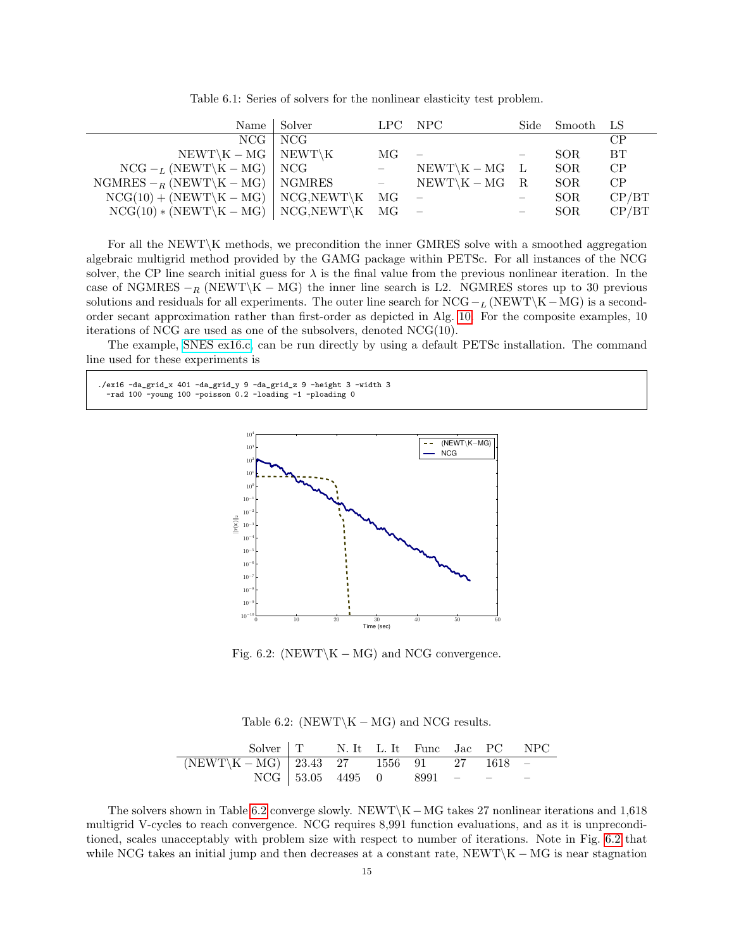<span id="page-14-0"></span>

|                                                | Name Solver   |                                     | LPC NPC                    |                          | Side Smooth LS |       |
|------------------------------------------------|---------------|-------------------------------------|----------------------------|--------------------------|----------------|-------|
|                                                | $NCG$   $NCG$ |                                     |                            |                          |                | CP    |
| $NEWT \K - MG$ NEWT $\K$                       |               | MG                                  | $\overline{\phantom{a}}$   |                          | SOR.           | BT    |
| $NCG - L (NEWT \ K - MG)$ NCG                  |               | $\sim$ $ \sim$                      | $NEWT \backslash K - MG$ L |                          | SOR.           | CP    |
| NGMRES $-$ <sub>R</sub> (NEWT\K – MG)   NGMRES |               | $\alpha \rightarrow \alpha \beta$ . | $NEWT \ K - MG$ R          |                          | SOR.           | CP    |
| $NCG(10) + (NEWT\K - MG)$ NCG, NEWT K          |               | MG                                  |                            |                          | SOR.           | CP/BT |
| $NCG(10)*(NEWT\K - MG)$   $NCG, NEWT\K$ MG     |               |                                     |                            | $\overline{\phantom{a}}$ | SOR.           | CP/BT |

Table 6.1: Series of solvers for the nonlinear elasticity test problem.

For all the NEWT\K methods, we precondition the inner GMRES solve with a smoothed aggregation algebraic multigrid method provided by the GAMG package within PETSc. For all instances of the NCG solver, the CP line search initial guess for  $\lambda$  is the final value from the previous nonlinear iteration. In the case of NGMRES  $-<sub>R</sub>$  (NEWT\K – MG) the inner line search is L2. NGMRES stores up to 30 previous solutions and residuals for all experiments. The outer line search for  $NCG - L (NEWT \ K - MG)$  is a secondorder secant approximation rather than first-order as depicted in Alg. [10.](#page-9-0) For the composite examples, 10 iterations of NCG are used as one of the subsolvers, denoted NCG(10).

The example, [SNES ex16.c,](http://www.mcs.anl.gov/petsc/petsc-current/src/snes/examples/tutorials/ex16.c.html) can be run directly by using a default PETSc installation. The command line used for these experiments is

<span id="page-14-2"></span>./ex16 -da\_grid\_x 401 -da\_grid\_y 9 -da\_grid\_z 9 -height 3 -width 3 -rad 100 -young 100 -poisson 0.2 -loading -1 -ploading 0



Fig. 6.2: (NEWT\K – MG) and NCG convergence.

Table 6.2: (NEWT\K – MG) and NCG results.

<span id="page-14-1"></span>

| Solver   T N. It L. It Func Jac PC NPC                                                       |                                 |  |  |  |
|----------------------------------------------------------------------------------------------|---------------------------------|--|--|--|
| $\boxed{(\text{NEWT}\backslash\text{K}-\text{MG})\, \,23.43\,27\,1556\,91\,27\,1618\,-1618}$ |                                 |  |  |  |
|                                                                                              | $NCG$   53.05 4495 0 8991 - - - |  |  |  |

The solvers shown in Table [6.2](#page-14-1) converge slowly. NEWT\K−MG takes 27 nonlinear iterations and 1,618 multigrid V-cycles to reach convergence. NCG requires 8,991 function evaluations, and as it is unpreconditioned, scales unacceptably with problem size with respect to number of iterations. Note in Fig. [6.2](#page-14-2) that while NCG takes an initial jump and then decreases at a constant rate,  $NEWT\K - MG$  is near stagnation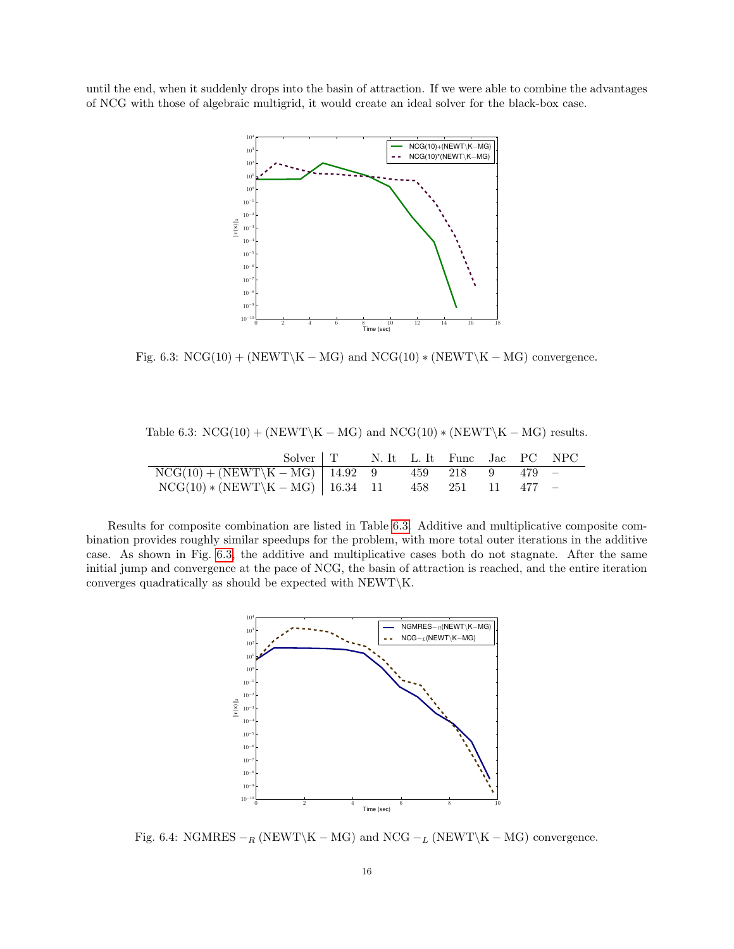<span id="page-15-1"></span>until the end, when it suddenly drops into the basin of attraction. If we were able to combine the advantages of NCG with those of algebraic multigrid, it would create an ideal solver for the black-box case.



Fig. 6.3:  $NCG(10) + (NEWT\K - MG)$  and  $NCG(10) * (NEWT\K - MG)$  convergence.

<span id="page-15-0"></span>

| Table 6.3: $NCG(10) + (NEWT \ K - MG)$ and $NCG(10) * (NEWT \ K - MG)$ results. |  |
|---------------------------------------------------------------------------------|--|
|---------------------------------------------------------------------------------|--|

| Solver   T N. It L. It Func Jac PC NPC              |  |  |  |  |
|-----------------------------------------------------|--|--|--|--|
| $NCG(10) + (NEWT\K - MG)$   14.92 9 459 218 9 479 - |  |  |  |  |
| $NCG(10)*(NEWT\K-MG)   16.34 11 458 251 11 477 -$   |  |  |  |  |

<span id="page-15-2"></span>Results for composite combination are listed in Table [6.3.](#page-15-0) Additive and multiplicative composite combination provides roughly similar speedups for the problem, with more total outer iterations in the additive case. As shown in Fig. [6.3,](#page-15-1) the additive and multiplicative cases both do not stagnate. After the same initial jump and convergence at the pace of NCG, the basin of attraction is reached, and the entire iteration converges quadratically as should be expected with NEWT\K.



Fig. 6.4: NGMRES  $-$ <sub>R</sub> (NEWT\K – MG) and NCG  $-$ <sub>L</sub> (NEWT\K – MG) convergence.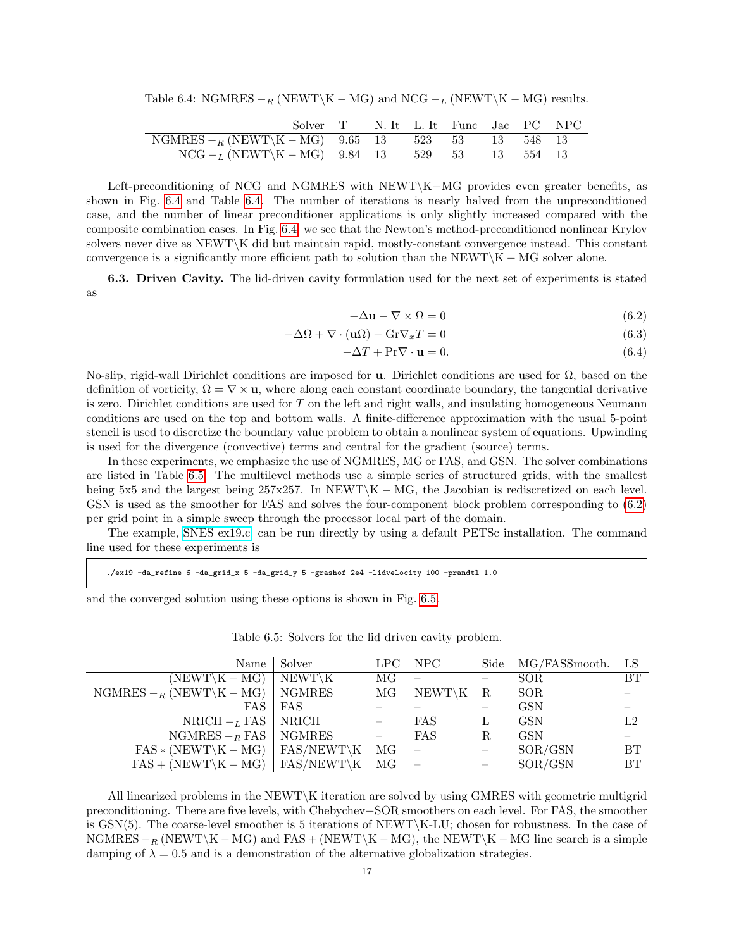<span id="page-16-0"></span>Table 6.4: NGMRES  $-<sub>R</sub>$  (NEWT\K – MG) and NCG  $-<sub>L</sub>$  (NEWT\K – MG) results.

| Solver   T N. It L. It Func Jac PC NPC                           |  |  |  |  |
|------------------------------------------------------------------|--|--|--|--|
| NGMRES $-$ <sub>R</sub> (NEWT\K – MG)   9.65 13 523 53 13 548 13 |  |  |  |  |
| $NCG - L (NEWT \ K - MG)$   9.84 13 529 53 13 554 13             |  |  |  |  |

Left-preconditioning of NCG and NGMRES with NEWT\K−MG provides even greater benefits, as shown in Fig. [6.4](#page-15-2) and Table [6.4.](#page-16-0) The number of iterations is nearly halved from the unpreconditioned case, and the number of linear preconditioner applications is only slightly increased compared with the composite combination cases. In Fig. [6.4,](#page-15-2) we see that the Newton's method-preconditioned nonlinear Krylov solvers never dive as NEWT\K did but maintain rapid, mostly-constant convergence instead. This constant convergence is a significantly more efficient path to solution than the NEWT $\overline{\ }$ K – MG solver alone.

<span id="page-16-3"></span>6.3. Driven Cavity. The lid-driven cavity formulation used for the next set of experiments is stated as

<span id="page-16-2"></span>
$$
-\Delta \mathbf{u} - \nabla \times \Omega = 0 \tag{6.2}
$$

$$
-\Delta\Omega + \nabla \cdot (\mathbf{u}\Omega) - \mathbf{G}\mathbf{r}\nabla_x T = 0 \tag{6.3}
$$

 $-\Delta T + \Pr \nabla \cdot \mathbf{u} = 0.$  (6.4)

No-slip, rigid-wall Dirichlet conditions are imposed for **u**. Dirichlet conditions are used for  $\Omega$ , based on the definition of vorticity,  $\Omega = \nabla \times \mathbf{u}$ , where along each constant coordinate boundary, the tangential derivative is zero. Dirichlet conditions are used for T on the left and right walls, and insulating homogeneous Neumann conditions are used on the top and bottom walls. A finite-difference approximation with the usual 5-point stencil is used to discretize the boundary value problem to obtain a nonlinear system of equations. Upwinding is used for the divergence (convective) terms and central for the gradient (source) terms.

In these experiments, we emphasize the use of NGMRES, MG or FAS, and GSN. The solver combinations are listed in Table [6.5.](#page-16-1) The multilevel methods use a simple series of structured grids, with the smallest being 5x5 and the largest being 257x257. In NEWT\K − MG, the Jacobian is rediscretized on each level. GSN is used as the smoother for FAS and solves the four-component block problem corresponding to [\(6.2\)](#page-16-2) per grid point in a simple sweep through the processor local part of the domain.

The example, [SNES ex19.c,](http://www.mcs.anl.gov/petsc/petsc-current/src/snes/examples/tutorials/ex19.c.html) can be run directly by using a default PETSc installation. The command line used for these experiments is

```
./ex19 -da_refine 6 -da_grid_x 5 -da_grid_y 5 -grashof 2e4 -lidvelocity 100 -prandtl 1.0
```
<span id="page-16-1"></span>and the converged solution using these options is shown in Fig. [6.5.](#page-17-0)

| Name                                           | Solver | LPC | $\rm NPC$                | Side | MG/FASSmooth. | - LS           |
|------------------------------------------------|--------|-----|--------------------------|------|---------------|----------------|
| $(NEWT\K - MG)$ NEWT $\K$                      |        | МG  |                          |      | SOR.          | <b>BT</b>      |
| NGMRES $-$ <sub>R</sub> (NEWT\K – MG)   NGMRES |        | МG  | $NEWT\K$                 | R    | SOR           |                |
| FAS.                                           | FAS    |     |                          |      | <b>GSN</b>    |                |
| NRICH $-L$ FAS   NRICH                         |        |     | <b>FAS</b>               | L    | <b>GSN</b>    | L <sub>2</sub> |
| NGMRES $-$ <sub>R</sub> FAS   NGMRES           |        |     | FAS                      | R    | <b>GSN</b>    |                |
| $FAS * (NEWT \ K - MG)$   FAS/NEWT K           |        | МG  | $\overline{\phantom{a}}$ |      | SOR/GSN       | <b>BT</b>      |
| $FAS + (NEWT \ K - MG)$   FAS/NEWT\K           |        | МG  |                          |      | SOR/GSN       | <b>BT</b>      |

Table 6.5: Solvers for the lid driven cavity problem.

All linearized problems in the NEWT\K iteration are solved by using GMRES with geometric multigrid preconditioning. There are five levels, with Chebychev−SOR smoothers on each level. For FAS, the smoother is GSN(5). The coarse-level smoother is 5 iterations of NEWT $\overline{\phantom{a}}$ K-LU; chosen for robustness. In the case of NGMRES  $-<sub>R</sub>$  (NEWT\K – MG) and FAS + (NEWT\K – MG), the NEWT\K – MG line search is a simple damping of  $\lambda = 0.5$  and is a demonstration of the alternative globalization strategies.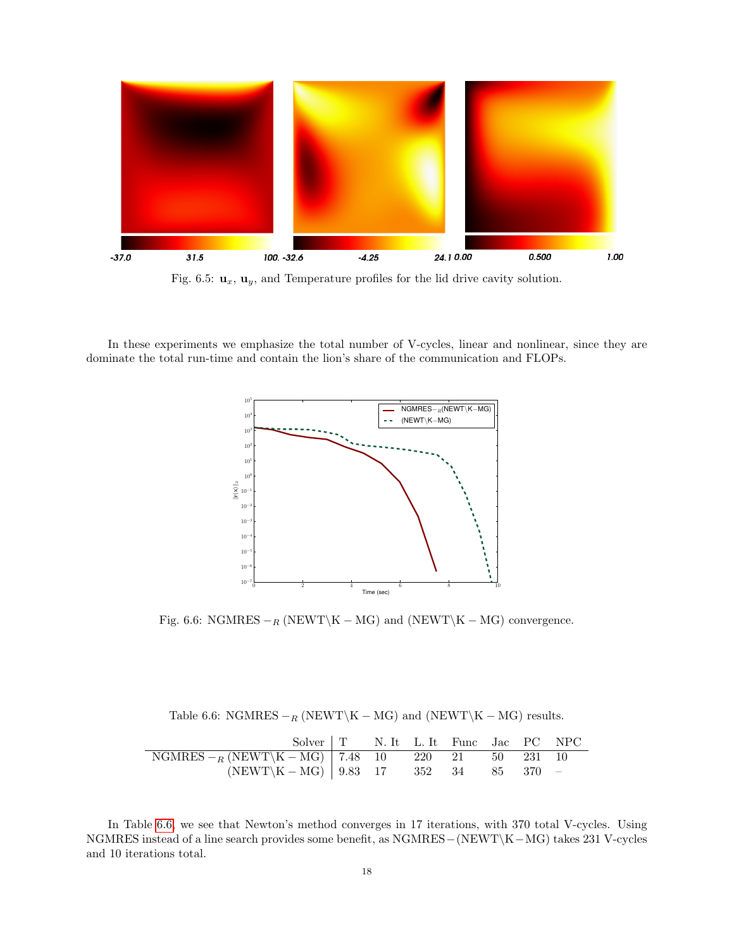<span id="page-17-0"></span>

Fig. 6.5:  $\mathbf{u}_x$ ,  $\mathbf{u}_y$ , and Temperature profiles for the lid drive cavity solution.

In these experiments we emphasize the total number of V-cycles, linear and nonlinear, since they are dominate the total run-time and contain the lion's share of the communication and FLOPs.



Fig. 6.6: NGMRES  $-$ <sub>R</sub> (NEWT\K – MG) and (NEWT\K – MG) convergence.

Table 6.6: NGMRES  $-<sub>R</sub>$  (NEWT\K – MG) and (NEWT\K – MG) results.

<span id="page-17-1"></span>

| Solver   T N. It L. It Func Jac PC NPC              |  |  |  |  |
|-----------------------------------------------------|--|--|--|--|
| $NGMRES - R(NEWT\{K-MG\})$ 7.48 10 220 21 50 231 10 |  |  |  |  |
| $(NEWT\ K - MG)$   9.83 17 352 34 85 370 -          |  |  |  |  |

In Table [6.6,](#page-17-1) we see that Newton's method converges in 17 iterations, with 370 total V-cycles. Using NGMRES instead of a line search provides some benefit, as NGMRES−(NEWT\K−MG) takes 231 V-cycles and 10 iterations total.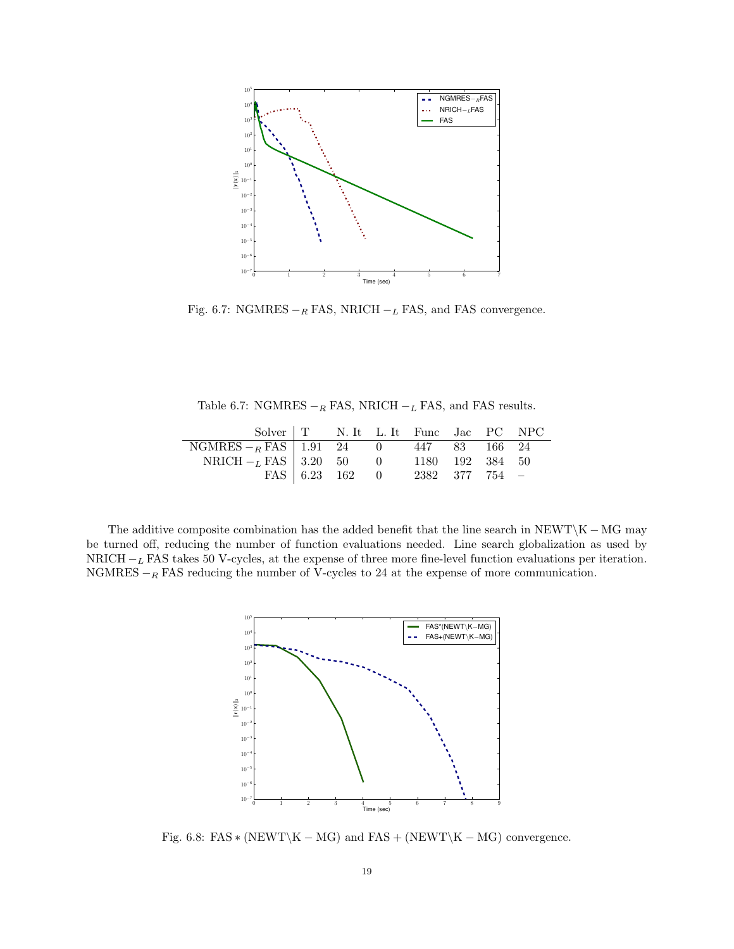

Fig. 6.7: NGMRES  $-<sub>R</sub>$  FAS, NRICH  $-<sub>L</sub>$  FAS, and FAS convergence.

Table 6.7: NGMRES  $-<sub>R</sub>$  FAS, NRICH  $-<sub>L</sub>$  FAS, and FAS results.

| Solver   T N. It L. It Func Jac PC NPC     |  |                               |  |  |
|--------------------------------------------|--|-------------------------------|--|--|
| NGMRES $-R$ FAS   1.91 24 0 447 83 166 24  |  |                               |  |  |
| NRICH $-L$ FAS   3.20 50 0 1180 192 384 50 |  |                               |  |  |
|                                            |  | FAS 6.23 162 0 2382 377 754 - |  |  |

<span id="page-18-0"></span>The additive composite combination has the added benefit that the line search in NEWT\K – MG may be turned off, reducing the number of function evaluations needed. Line search globalization as used by NRICH  $-L$  FAS takes 50 V-cycles, at the expense of three more fine-level function evaluations per iteration. NGMRES  $-$ R FAS reducing the number of V-cycles to 24 at the expense of more communication.



Fig. 6.8: FAS  $*(NEWT\K - MG)$  and FAS + (NEWT\K – MG) convergence.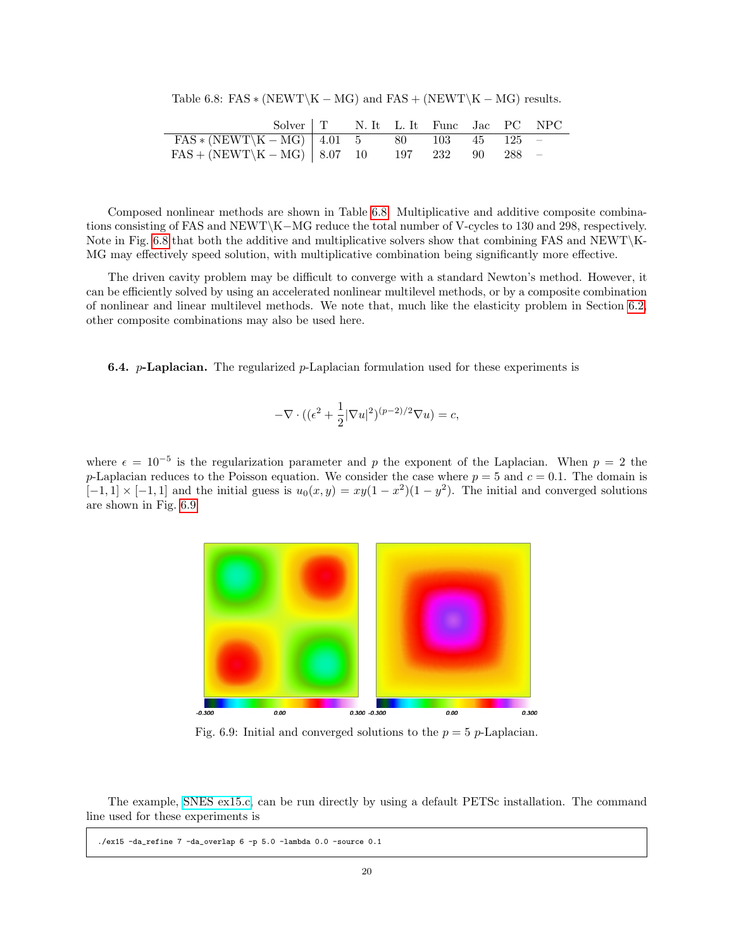<span id="page-19-0"></span>Table 6.8: FAS  $*(NEWT\K - MG)$  and FAS + (NEWT\K – MG) results.

| Solver   T N. It L. It Func Jac PC NPC           |  |  |  |  |
|--------------------------------------------------|--|--|--|--|
| $FAS * (NEWT \ K - MG)   4.01 5 80 103 45 125 -$ |  |  |  |  |
| $FAS + (NEWT \ K - MG)$ 8.07 10 197 232 90 288 - |  |  |  |  |

Composed nonlinear methods are shown in Table [6.8.](#page-19-0) Multiplicative and additive composite combinations consisting of FAS and NEWT\K−MG reduce the total number of V-cycles to 130 and 298, respectively. Note in Fig. [6.8](#page-18-0) that both the additive and multiplicative solvers show that combining FAS and NEWT\K-MG may effectively speed solution, with multiplicative combination being significantly more effective.

The driven cavity problem may be difficult to converge with a standard Newton's method. However, it can be efficiently solved by using an accelerated nonlinear multilevel methods, or by a composite combination of nonlinear and linear multilevel methods. We note that, much like the elasticity problem in Section [6.2,](#page-13-1) other composite combinations may also be used here.

**6.4.** p-Laplacian. The regularized p-Laplacian formulation used for these experiments is

$$
-\nabla \cdot ((\epsilon^2 + \frac{1}{2}|\nabla u|^2)^{(p-2)/2} \nabla u) = c,
$$

<span id="page-19-1"></span>where  $\epsilon = 10^{-5}$  is the regularization parameter and p the exponent of the Laplacian. When  $p = 2$  the p-Laplacian reduces to the Poisson equation. We consider the case where  $p = 5$  and  $c = 0.1$ . The domain is  $[-1, 1] \times [-1, 1]$  and the initial guess is  $u_0(x, y) = xy(1 - x^2)(1 - y^2)$ . The initial and converged solutions are shown in Fig. [6.9.](#page-19-1)



Fig. 6.9: Initial and converged solutions to the  $p = 5$  p-Laplacian.

The example, [SNES ex15.c,](http://www.mcs.anl.gov/petsc/petsc-current/src/snes/examples/tutorials/ex15.c.html) can be run directly by using a default PETSc installation. The command line used for these experiments is

./ex15 -da\_refine 7 -da\_overlap 6 -p 5.0 -lambda 0.0 -source 0.1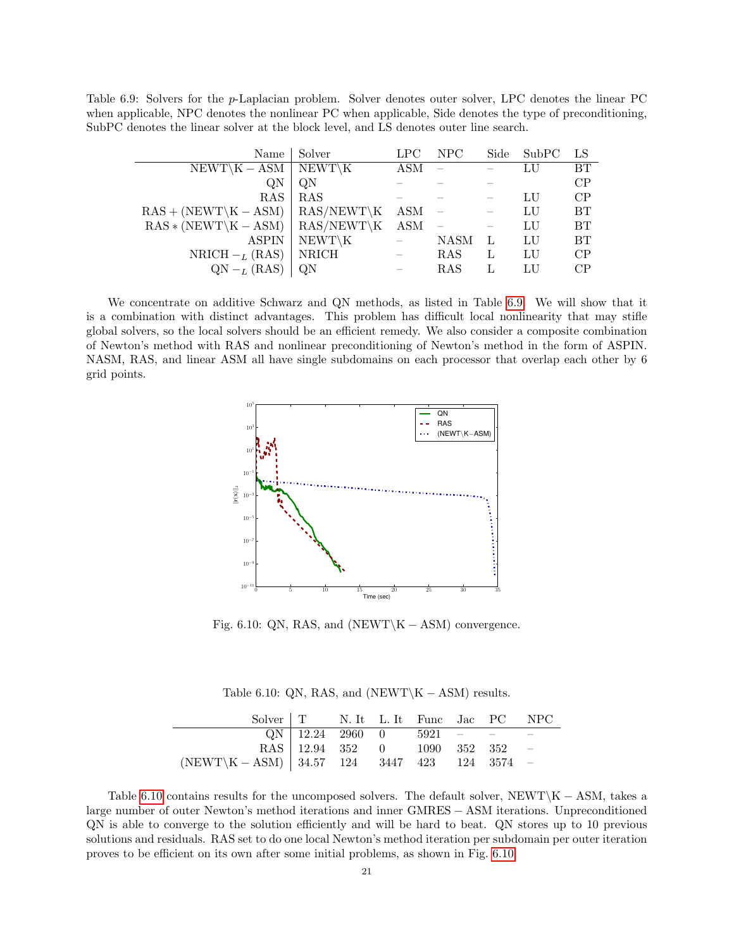<span id="page-20-0"></span>Table 6.9: Solvers for the p-Laplacian problem. Solver denotes outer solver, LPC denotes the linear PC when applicable, NPC denotes the nonlinear PC when applicable, Side denotes the type of preconditioning, SubPC denotes the linear solver at the block level, and LS denotes outer line search.

| Name                     | Solver       | LPC        | NPC         | Side | SubPC | LS        |
|--------------------------|--------------|------------|-------------|------|-------|-----------|
| $NEWT \K - ASM$          | NEWT\K       | <b>ASM</b> |             |      | LU    | <b>BT</b> |
| QN                       | QN           |            |             |      |       | CP        |
| RAS                      | RAS          |            |             |      | LU    | CP        |
| $RAS + (NEWT\K - ASM)$   | $RAS/NEWT\K$ | ASM        |             |      | LU    | <b>BT</b> |
| $RAS * (NEWT \ K - ASM)$ | $RAS/NEWT\K$ | <b>ASM</b> |             |      | LU    | <b>BT</b> |
| <b>ASPIN</b>             | $NEWT\K$     |            | <b>NASM</b> |      | LU    | <b>BT</b> |
| NRICH $-L$ (RAS)         | <b>NRICH</b> |            | <b>RAS</b>  | L    | LU    | CP        |
| $QN - L$ (RAS)           | QΝ           |            | RAS         |      | LU    | CP        |

<span id="page-20-2"></span>We concentrate on additive Schwarz and QN methods, as listed in Table [6.9.](#page-20-0) We will show that it is a combination with distinct advantages. This problem has difficult local nonlinearity that may stifle global solvers, so the local solvers should be an efficient remedy. We also consider a composite combination of Newton's method with RAS and nonlinear preconditioning of Newton's method in the form of ASPIN. NASM, RAS, and linear ASM all have single subdomains on each processor that overlap each other by 6 grid points.



Fig. 6.10: QN, RAS, and  $(NEWT\K - ASM)$  convergence.

Table 6.10: QN, RAS, and (NEWT\K – ASM) results.

<span id="page-20-1"></span>

| Solver   T N. It L. It Func Jac PC NPC          |                                |  |  |  |
|-------------------------------------------------|--------------------------------|--|--|--|
|                                                 | $QN$   12.24 2960 0 5921 - - - |  |  |  |
|                                                 | RAS 12.94 352 0 1090 352 352 - |  |  |  |
| $(NEWT\{K-ASM\})$ 34.57 124 3447 423 124 3574 - |                                |  |  |  |

Table [6.10](#page-20-1) contains results for the uncomposed solvers. The default solver,  $NEWT\K - ASM$ , takes a large number of outer Newton's method iterations and inner GMRES − ASM iterations. Unpreconditioned QN is able to converge to the solution efficiently and will be hard to beat. QN stores up to 10 previous solutions and residuals. RAS set to do one local Newton's method iteration per subdomain per outer iteration proves to be efficient on its own after some initial problems, as shown in Fig. [6.10.](#page-20-2)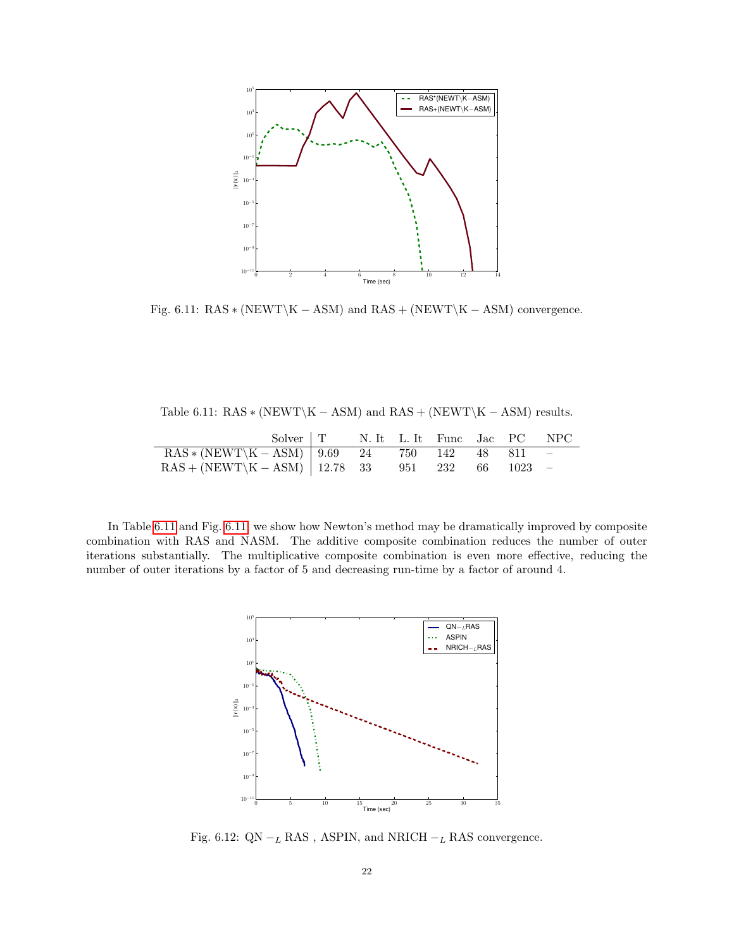<span id="page-21-1"></span>

Fig. 6.11:  $RAS * (NEWT \ K - ASM)$  and  $RAS + (NEWT \ K - ASM)$  convergence.

<span id="page-21-0"></span>Table 6.11:  $RAS * (NEWT \ K - ASM)$  and  $RAS + (NEWT \ K - ASM)$  results.

| Solver   T N. It L. It Func Jac PC NPC              |  |  |  |  |
|-----------------------------------------------------|--|--|--|--|
| $RAS * (NEWT \ X - ASM)$ 9.69 24 750 142 48 811 -   |  |  |  |  |
| $RAS + (NEWT\K - ASM)$   12.78 33 951 232 66 1023 - |  |  |  |  |

<span id="page-21-2"></span>In Table [6.11](#page-21-0) and Fig. [6.11,](#page-21-1) we show how Newton's method may be dramatically improved by composite combination with RAS and NASM. The additive composite combination reduces the number of outer iterations substantially. The multiplicative composite combination is even more effective, reducing the number of outer iterations by a factor of 5 and decreasing run-time by a factor of around 4.



Fig. 6.12: QN  $-_{L}$  RAS , ASPIN, and NRICH  $-_{L}$  RAS convergence.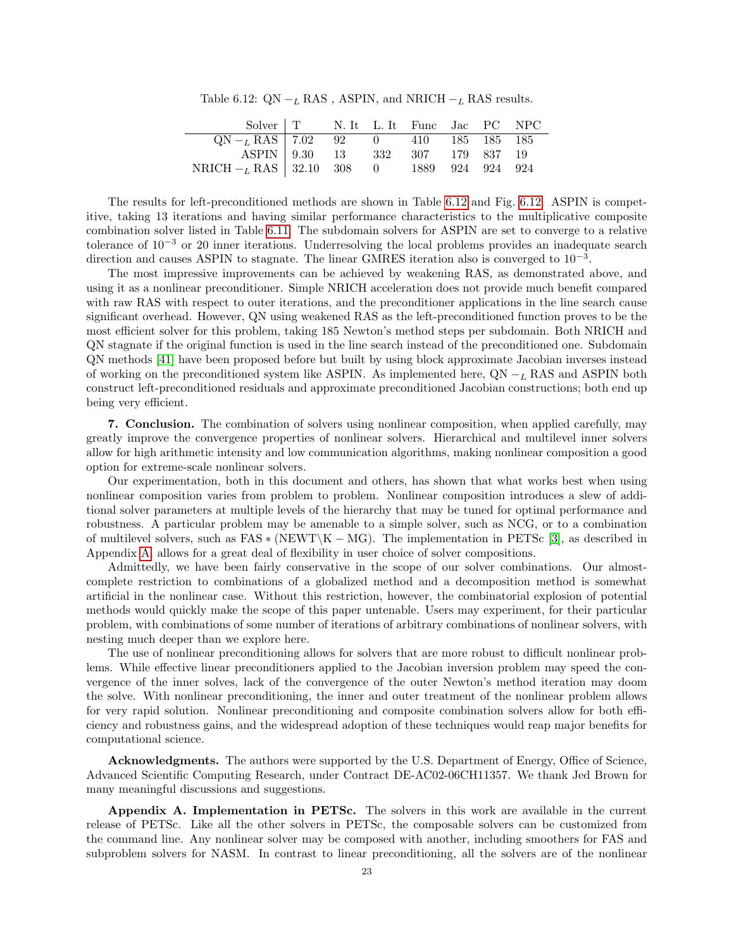Table 6.12: QN  $-L$  RAS, ASPIN, and NRICH  $-L$  RAS results.

<span id="page-22-0"></span>

| Solver   T N. It L. It Func Jac PC NPC                                                                    |  |  |  |  |
|-----------------------------------------------------------------------------------------------------------|--|--|--|--|
| $QN - L RAS$ 7.02 92 0 410 185 185 185                                                                    |  |  |  |  |
| ASPIN 9.30 13 332 307 179 837 19                                                                          |  |  |  |  |
| $\begin{array}{c ccccc} \text{NRICH}-_L\text{RAS} & 32.10 & 308 & 0 & 1889 & 924 & 924 & 924 \end{array}$ |  |  |  |  |

The results for left-preconditioned methods are shown in Table [6.12](#page-22-0) and Fig. [6.12.](#page-21-2) ASPIN is competitive, taking 13 iterations and having similar performance characteristics to the multiplicative composite combination solver listed in Table [6.11.](#page-21-0) The subdomain solvers for ASPIN are set to converge to a relative tolerance of  $10^{-3}$  or 20 inner iterations. Underresolving the local problems provides an inadequate search direction and causes ASPIN to stagnate. The linear GMRES iteration also is converged to  $10^{-3}$ .

The most impressive improvements can be achieved by weakening RAS, as demonstrated above, and using it as a nonlinear preconditioner. Simple NRICH acceleration does not provide much benefit compared with raw RAS with respect to outer iterations, and the preconditioner applications in the line search cause significant overhead. However, QN using weakened RAS as the left-preconditioned function proves to be the most efficient solver for this problem, taking 185 Newton's method steps per subdomain. Both NRICH and QN stagnate if the original function is used in the line search instead of the preconditioned one. Subdomain QN methods [\[41\]](#page-28-27) have been proposed before but built by using block approximate Jacobian inverses instead of working on the preconditioned system like ASPIN. As implemented here,  $QN - L$  RAS and ASPIN both construct left-preconditioned residuals and approximate preconditioned Jacobian constructions; both end up being very efficient.

7. Conclusion. The combination of solvers using nonlinear composition, when applied carefully, may greatly improve the convergence properties of nonlinear solvers. Hierarchical and multilevel inner solvers allow for high arithmetic intensity and low communication algorithms, making nonlinear composition a good option for extreme-scale nonlinear solvers.

Our experimentation, both in this document and others, has shown that what works best when using nonlinear composition varies from problem to problem. Nonlinear composition introduces a slew of additional solver parameters at multiple levels of the hierarchy that may be tuned for optimal performance and robustness. A particular problem may be amenable to a simple solver, such as NCG, or to a combination of multilevel solvers, such as  $FAS * (NEWT\K - MG)$ . The implementation in PETSc [\[3\]](#page-26-2), as described in Appendix [A,](#page-22-1) allows for a great deal of flexibility in user choice of solver compositions.

Admittedly, we have been fairly conservative in the scope of our solver combinations. Our almostcomplete restriction to combinations of a globalized method and a decomposition method is somewhat artificial in the nonlinear case. Without this restriction, however, the combinatorial explosion of potential methods would quickly make the scope of this paper untenable. Users may experiment, for their particular problem, with combinations of some number of iterations of arbitrary combinations of nonlinear solvers, with nesting much deeper than we explore here.

The use of nonlinear preconditioning allows for solvers that are more robust to difficult nonlinear problems. While effective linear preconditioners applied to the Jacobian inversion problem may speed the convergence of the inner solves, lack of the convergence of the outer Newton's method iteration may doom the solve. With nonlinear preconditioning, the inner and outer treatment of the nonlinear problem allows for very rapid solution. Nonlinear preconditioning and composite combination solvers allow for both efficiency and robustness gains, and the widespread adoption of these techniques would reap major benefits for computational science.

<span id="page-22-1"></span>Acknowledgments. The authors were supported by the U.S. Department of Energy, Office of Science. Advanced Scientific Computing Research, under Contract DE-AC02-06CH11357. We thank Jed Brown for many meaningful discussions and suggestions.

Appendix A. Implementation in PETSc. The solvers in this work are available in the current release of PETSc. Like all the other solvers in PETSc, the composable solvers can be customized from the command line. Any nonlinear solver may be composed with another, including smoothers for FAS and subproblem solvers for NASM. In contrast to linear preconditioning, all the solvers are of the nonlinear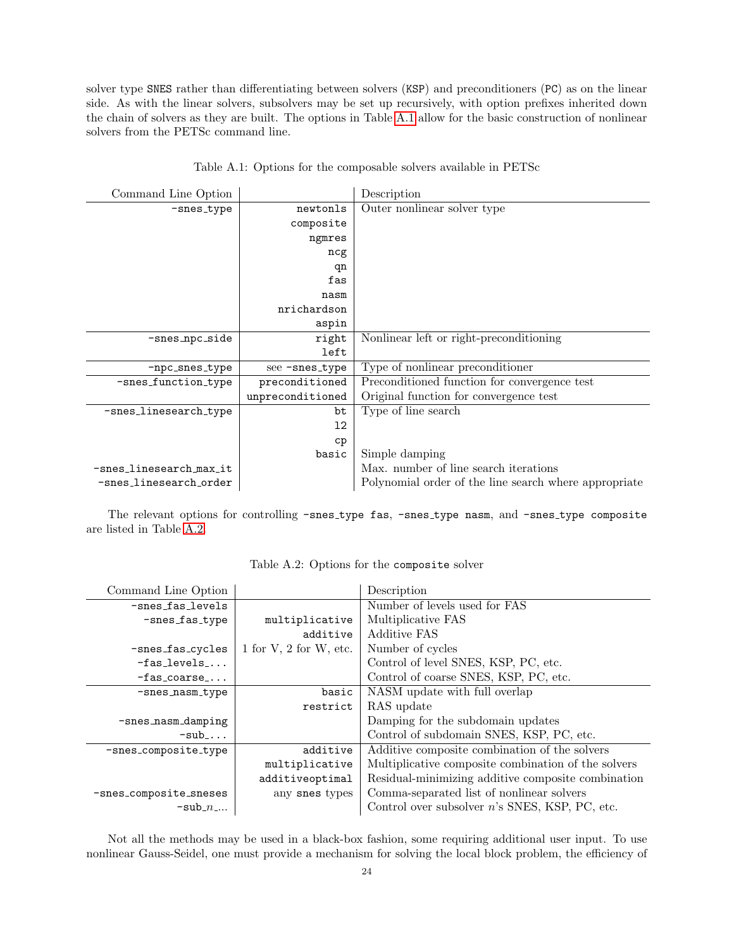solver type SNES rather than differentiating between solvers (KSP) and preconditioners (PC) as on the linear side. As with the linear solvers, subsolvers may be set up recursively, with option prefixes inherited down the chain of solvers as they are built. The options in Table [A.1](#page-23-0) allow for the basic construction of nonlinear solvers from the PETSc command line.

<span id="page-23-0"></span>

| Command Line Option     |                  | Description                                           |
|-------------------------|------------------|-------------------------------------------------------|
| -snes_type              | newtonls         | Outer nonlinear solver type                           |
|                         | composite        |                                                       |
|                         | ngmres           |                                                       |
|                         | ncg              |                                                       |
|                         | qn               |                                                       |
|                         | fas              |                                                       |
|                         | nasm             |                                                       |
|                         | nrichardson      |                                                       |
|                         | aspin            |                                                       |
| -snes_npc_side          | right            | Nonlinear left or right-preconditioning               |
|                         | left             |                                                       |
| -npc_snes_type          | see-snes_type    | Type of nonlinear preconditioner                      |
| -snes_function_type     | preconditioned   | Preconditioned function for convergence test          |
|                         | unpreconditioned | Original function for convergence test                |
| -snes_linesearch_type   | bt               | Type of line search                                   |
|                         | $12 \,$          |                                                       |
|                         | cp               |                                                       |
|                         | basic            | Simple damping                                        |
| -snes_linesearch_max_it |                  | Max. number of line search iterations                 |
| -snes_linesearch_order  |                  | Polynomial order of the line search where appropriate |

|  |  |  | Table A.1: Options for the composable solvers available in PETSc |  |  |  |  |
|--|--|--|------------------------------------------------------------------|--|--|--|--|
|--|--|--|------------------------------------------------------------------|--|--|--|--|

<span id="page-23-1"></span>The relevant options for controlling -snes\_type fas, -snes\_type nasm, and -snes\_type composite are listed in Table [A.2.](#page-23-1)

| Command Line Option    |                            | Description                                         |
|------------------------|----------------------------|-----------------------------------------------------|
| -snes_fas_levels       |                            | Number of levels used for FAS                       |
| $-snes_fas_type$       | multiplicative             | Multiplicative FAS                                  |
|                        | additive                   | <b>Additive FAS</b>                                 |
| -snes_fas_cycles       | $1$ for V, $2$ for W, etc. | Number of cycles                                    |
| $-fas_{levels}$        |                            | Control of level SNES, KSP, PC, etc.                |
| $-fas\_coarse$         |                            | Control of coarse SNES, KSP, PC, etc.               |
| $-$ snes_nasm_type     | basic                      | NASM update with full overlap                       |
|                        | restrict                   | RAS update                                          |
| -snes_nasm_damping     |                            | Damping for the subdomain updates                   |
| $-sub$                 |                            | Control of subdomain SNES, KSP, PC, etc.            |
| -snes_composite_type   | additive                   | Additive composite combination of the solvers       |
|                        | multiplicative             | Multiplicative composite combination of the solvers |
|                        | additiveoptimal            | Residual-minimizing additive composite combination  |
| -snes_composite_sneses | any snes types             | Comma-separated list of nonlinear solvers           |
| $-sub_n$               |                            | Control over subsolver $n$ 's SNES, KSP, PC, etc.   |

Not all the methods may be used in a black-box fashion, some requiring additional user input. To use nonlinear Gauss-Seidel, one must provide a mechanism for solving the local block problem, the efficiency of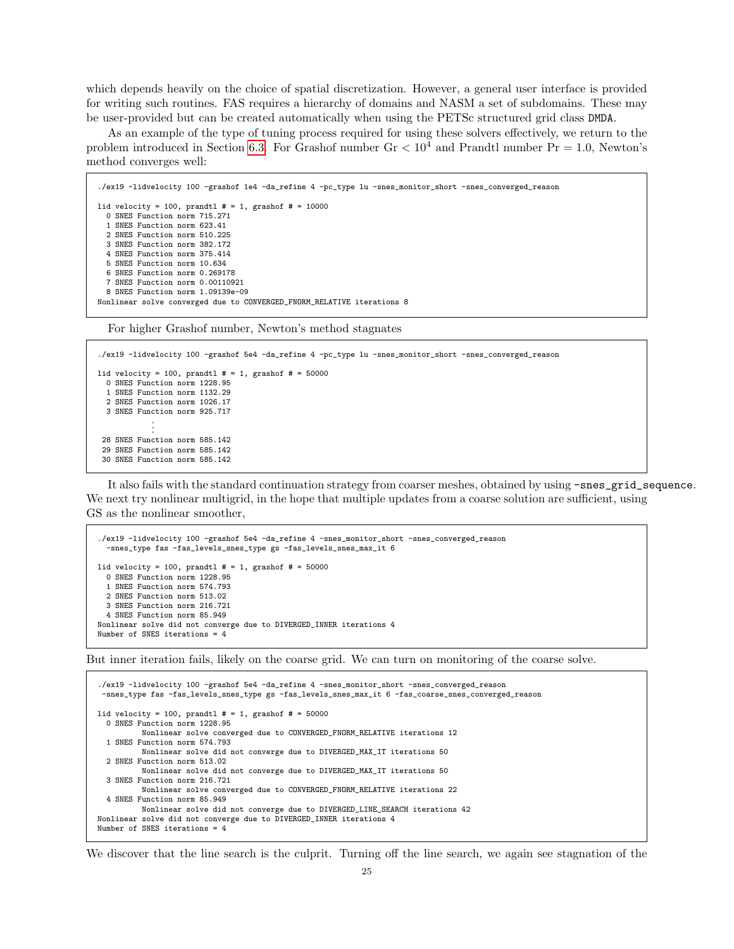which depends heavily on the choice of spatial discretization. However, a general user interface is provided for writing such routines. FAS requires a hierarchy of domains and NASM a set of subdomains. These may be user-provided but can be created automatically when using the PETSc structured grid class DMDA.

As an example of the type of tuning process required for using these solvers effectively, we return to the problem introduced in Section [6.3.](#page-16-3) For Grashof number  $Gr < 10^4$  and Prandtl number  $Pr = 1.0$ , Newton's method converges well:

```
./ex19 -lidvelocity 100 -grashof 1e4 -da_refine 4 -pc_type lu -snes_monitor_short -snes_converged_reason
lid velocity = 100, prandtl # = 1, grashof # = 10000
  0 SNES Function norm 715.271
  1 SNES Function norm 623.41
  2 SNES Function norm 510.225
  3 SNES Function norm 382.172
  4 SNES Function norm 375.414
  5 SNES Function norm 10.634
  6 SNES Function norm 0.269178
  7 SNES Function norm 0.00110921
  8 SNES Function norm 1.09139e-09
Nonlinear solve converged due to CONVERGED_FNORM_RELATIVE iterations 8
```
For higher Grashof number, Newton's method stagnates

./ex19 -lidvelocity 100 -grashof 5e4 -da\_refine 4 -pc\_type lu -snes\_monitor\_short -snes\_converged\_reason

```
lid velocity = 100, prandtl # = 1, grashof # = 500000 SNES Function norm 1228.95
 1 SNES Function norm 1132.29
 2 SNES Function norm 1026.17
 3 SNES Function norm 925.717
            .
            .
 .
28 SNES Function norm 585.142
 29 SNES Function norm 585.142
 30 SNES Function norm 585.142
```
It also fails with the standard continuation strategy from coarser meshes, obtained by using -snes\_grid\_sequence. We next try nonlinear multigrid, in the hope that multiple updates from a coarse solution are sufficient, using GS as the nonlinear smoother,

```
./ex19 -lidvelocity 100 -grashof 5e4 -da_refine 4 -snes_monitor_short -snes_converged_reason
  -snes_type fas -fas_levels_snes_type gs -fas_levels_snes_max_it 6
lid velocity = 100, prandtl # = 1, grashof # = 500000 SNES Function norm 1228.95
  1 SNES Function norm 574.793
  2 SNES Function norm 513.02
  3 SNES Function norm 216.721
  4 SNES Function norm 85.949
Nonlinear solve did not converge due to DIVERGED_INNER iterations 4
Number of SNES iterations = 4
```
But inner iteration fails, likely on the coarse grid. We can turn on monitoring of the coarse solve.

```
./ex19 -lidvelocity 100 -grashof 5e4 -da_refine 4 -snes_monitor_short -snes_converged_reason
 -snes_type fas -fas_levels_snes_type gs -fas_levels_snes_max_it 6 -fas_coarse_snes_converged_reason
lid velocity = 100, prandtl # = 1, grashof # = 500000 SNES Function norm 1228.95
         Nonlinear solve converged due to CONVERGED_FNORM_RELATIVE iterations 12
  1 SNES Function norm 574.793
          Nonlinear solve did not converge due to DIVERGED_MAX_IT iterations 50
  2 SNES Function norm 513.02
         Nonlinear solve did not converge due to DIVERGED_MAX_IT iterations 50
  3 SNES Function norm 216.721
          Nonlinear solve converged due to CONVERGED_FNORM_RELATIVE iterations 22
  4 SNES Function norm 85.949
         Nonlinear solve did not converge due to DIVERGED_LINE_SEARCH iterations 42
Nonlinear solve did not converge due to DIVERGED_INNER iterations 4
Number of SNES iterations = 4
```
We discover that the line search is the culprit. Turning off the line search, we again see stagnation of the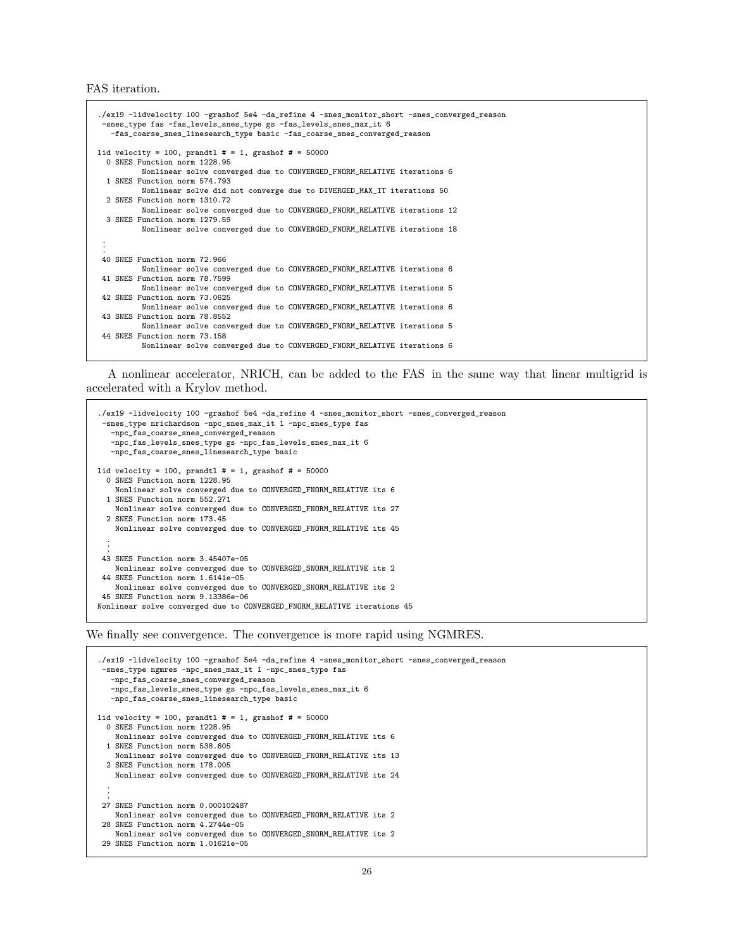FAS iteration.

```
./ex19 -lidvelocity 100 -grashof 5e4 -da_refine 4 -snes_monitor_short -snes_converged_reason
 -snes_type fas -fas_levels_snes_type gs -fas_levels_snes_max_it 6
   -fas_coarse_snes_linesearch_type basic -fas_coarse_snes_converged_reason
lid velocity = 100, prandtl # = 1, grashof # = 500000 SNES Function norm 1228.95
         Nonlinear solve converged due to CONVERGED_FNORM_RELATIVE iterations 6
  1 SNES Function norm 574.793
         Nonlinear solve did not converge due to DIVERGED_MAX_IT iterations 50
  2 SNES Function norm 1310.72
         Nonlinear solve converged due to CONVERGED_FNORM_RELATIVE iterations 12
  3 SNES Function norm 1279.59
         Nonlinear solve converged due to CONVERGED_FNORM_RELATIVE iterations 18
 .
 .
 .
40 SNES Function norm 72.966
         Nonlinear solve converged due to CONVERGED_FNORM_RELATIVE iterations 6
 41 SNES Function norm 78.7599
         Nonlinear solve converged due to CONVERGED_FNORM_RELATIVE iterations 5
 42 SNES Function norm 73.0625
         Nonlinear solve converged due to CONVERGED_FNORM_RELATIVE iterations 6
 43 SNES Function norm 78.8552
         Nonlinear solve converged due to CONVERGED_FNORM_RELATIVE iterations 5
 44 SNES Function norm 73.158
          Nonlinear solve converged due to CONVERGED_FNORM_RELATIVE iterations 6
```
A nonlinear accelerator, NRICH, can be added to the FAS in the same way that linear multigrid is accelerated with a Krylov method.

```
./ex19 -lidvelocity 100 -grashof 5e4 -da_refine 4 -snes_monitor_short -snes_converged_reason
 -snes_type nrichardson -npc_snes_max_it 1 -npc_snes_type fas
   -npc_fas_coarse_snes_converged_reason
   -npc_fas_levels_snes_type gs -npc_fas_levels_snes_max_it 6
   -npc_fas_coarse_snes_linesearch_type basic
lid velocity = 100, prandtl # = 1, grashof # = 500000 SNES Function norm 1228.95
    Nonlinear solve converged due to CONVERGED_FNORM_RELATIVE its 6
  1 SNES Function norm 552.271
    Nonlinear solve converged due to CONVERGED_FNORM_RELATIVE its 27
  2 SNES Function norm 173.45
   Nonlinear solve converged due to CONVERGED_FNORM_RELATIVE its 45
  .
  .
  .
 43 SNES Function norm 3.45407e-05
    Nonlinear solve converged due to CONVERGED_SNORM_RELATIVE its 2
 44 SNES Function norm 1.6141e-05
   Nonlinear solve converged due to CONVERGED_SNORM_RELATIVE its 2
 45 SNES Function norm 9.13386e-06
Nonlinear solve converged due to CONVERGED_FNORM_RELATIVE iterations 45
```
We finally see convergence. The convergence is more rapid using NGMRES.

```
./ex19 -lidvelocity 100 -grashof 5e4 -da_refine 4 -snes_monitor_short -snes_converged_reason
 -snes_type ngmres -npc_snes_max_it 1 -npc_snes_type fas
   -npc_fas_coarse_snes_converged_reason
   -npc_fas_levels_snes_type gs -npc_fas_levels_snes_max_it 6
   -npc_fas_coarse_snes_linesearch_type basic
lid velocity = 100, prandtl # = 1, grashof # = 50000
  0 SNES Function norm 1228.95
    Nonlinear solve converged due to CONVERGED_FNORM_RELATIVE its 6
  1 SNES Function norm 538.605
    Nonlinear solve converged due to CONVERGED_FNORM_RELATIVE its 13
  2 SNES Function norm 178.005
    Nonlinear solve converged due to CONVERGED_FNORM_RELATIVE its 24
  .
  .
  .
 27 SNES Function norm 0.000102487
   Nonlinear solve converged due to CONVERGED_FNORM_RELATIVE its 2
 28 SNES Function norm 4.2744e-05
   Nonlinear solve converged due to CONVERGED_SNORM_RELATIVE its 2
 29 SNES Function norm 1.01621e-05
```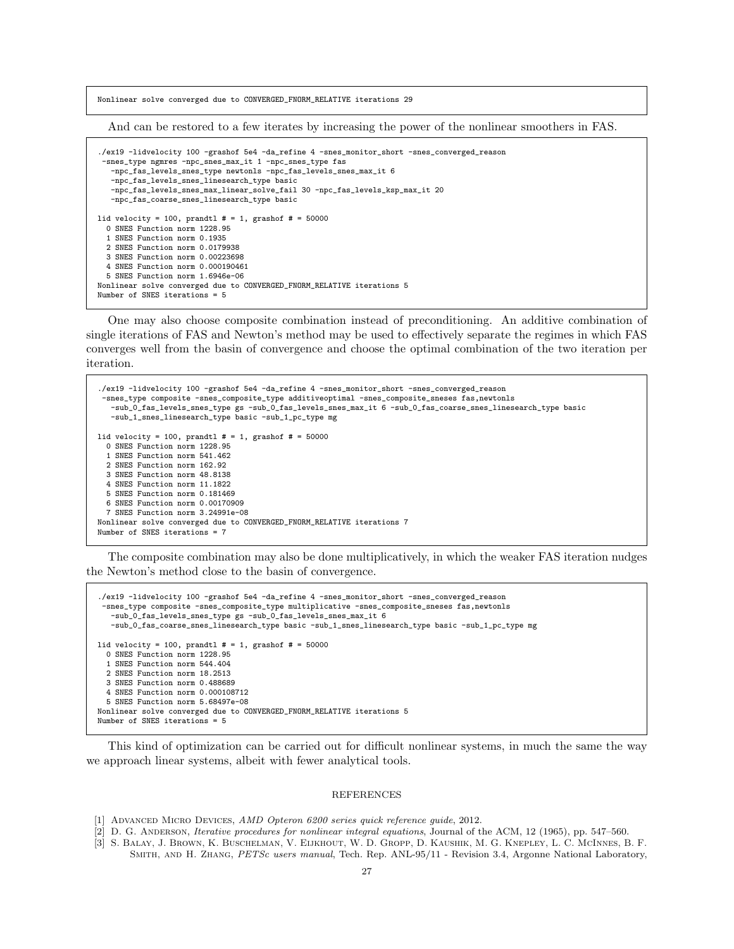Nonlinear solve converged due to CONVERGED\_FNORM\_RELATIVE iterations 29

And can be restored to a few iterates by increasing the power of the nonlinear smoothers in FAS.

```
./ex19 -lidvelocity 100 -grashof 5e4 -da_refine 4 -snes_monitor_short -snes_converged_reason
 -snes_type ngmres -npc_snes_max_it 1 -npc_snes_type fas
   -npc_fas_levels_snes_type newtonls -npc_fas_levels_snes_max_it 6
   -npc_fas_levels_snes_linesearch_type basic
   -npc_fas_levels_snes_max_linear_solve_fail 30 -npc_fas_levels_ksp_max_it 20
   -npc_fas_coarse_snes_linesearch_type basic
lid velocity = 100, prandtl # = 1, grashof # = 500000 SNES Function norm 1228.95
  1 SNES Function norm 0.1935
  2 SNES Function norm 0.0179938
  3 SNES Function norm 0.00223698
  4 SNES Function norm 0.000190461
  5 SNES Function norm 1.6946e-06
Nonlinear solve converged due to CONVERGED_FNORM_RELATIVE iterations 5
Number of SNES iterations = 5
```
One may also choose composite combination instead of preconditioning. An additive combination of single iterations of FAS and Newton's method may be used to effectively separate the regimes in which FAS converges well from the basin of convergence and choose the optimal combination of the two iteration per iteration.

```
./ex19 -lidvelocity 100 -grashof 5e4 -da_refine 4 -snes_monitor_short -snes_converged_reason
 -snes_type composite -snes_composite_type additiveoptimal -snes_composite_sneses fas,newtonls
   -sub_0_fas_levels_snes_type gs -sub_0_fas_levels_snes_max_it 6 -sub_0_fas_coarse_snes_linesearch_type basic
   -sub_1_snes_linesearch_type basic -sub_1_pc_type mg
lid velocity = 100, prandtl # = 1, grashof # = 500000 SNES Function norm 1228.95
  1 SNES Function norm 541.462
  2 SNES Function norm 162.92
  3 SNES Function norm 48.8138
  4 SNES Function norm 11.1822
  5 SNES Function norm 0.181469
  6 SNES Function norm 0.00170909
  7 SNES Function norm 3.24991e-08
Nonlinear solve converged due to CONVERGED_FNORM_RELATIVE iterations 7
Number of SNES iterations = 7
```
The composite combination may also be done multiplicatively, in which the weaker FAS iteration nudges the Newton's method close to the basin of convergence.

```
./ex19 -lidvelocity 100 -grashof 5e4 -da_refine 4 -snes_monitor_short -snes_converged_reason
 -snes_type composite -snes_composite_type multiplicative -snes_composite_sneses fas,newtonls
   -sub_0_fas_levels_snes_type gs -sub_0_fas_levels_snes_max_it 6
   -sub_0_fas_coarse_snes_linesearch_type basic -sub_1_snes_linesearch_type basic -sub_1_pc_type mg
lid velocity = 100, prandtl # = 1, grashof # = 50000
  0 SNES Function norm 1228.95
  1 SNES Function norm 544.404
  2 SNES Function norm 18.2513
  3 SNES Function norm 0.488689
  4 SNES Function norm 0.000108712
  5 SNES Function norm 5.68497e-08
Nonlinear solve converged due to CONVERGED_FNORM_RELATIVE iterations 5
Number of SNES iterations = 5
```
This kind of optimization can be carried out for difficult nonlinear systems, in much the same the way we approach linear systems, albeit with fewer analytical tools.

## REFERENCES

- <span id="page-26-1"></span>[1] ADVANCED MICRO DEVICES, AMD Opteron 6200 series quick reference quide, 2012.
- <span id="page-26-0"></span>[2] D. G. Anderson, Iterative procedures for nonlinear integral equations, Journal of the ACM, 12 (1965), pp. 547–560.
- <span id="page-26-2"></span>[3] S. Balay, J. Brown, K. Buschelman, V. Eijkhout, W. D. Gropp, D. Kaushik, M. G. Knepley, L. C. McInnes, B. F. Smith, and H. Zhang, PETSc users manual, Tech. Rep. ANL-95/11 - Revision 3.4, Argonne National Laboratory,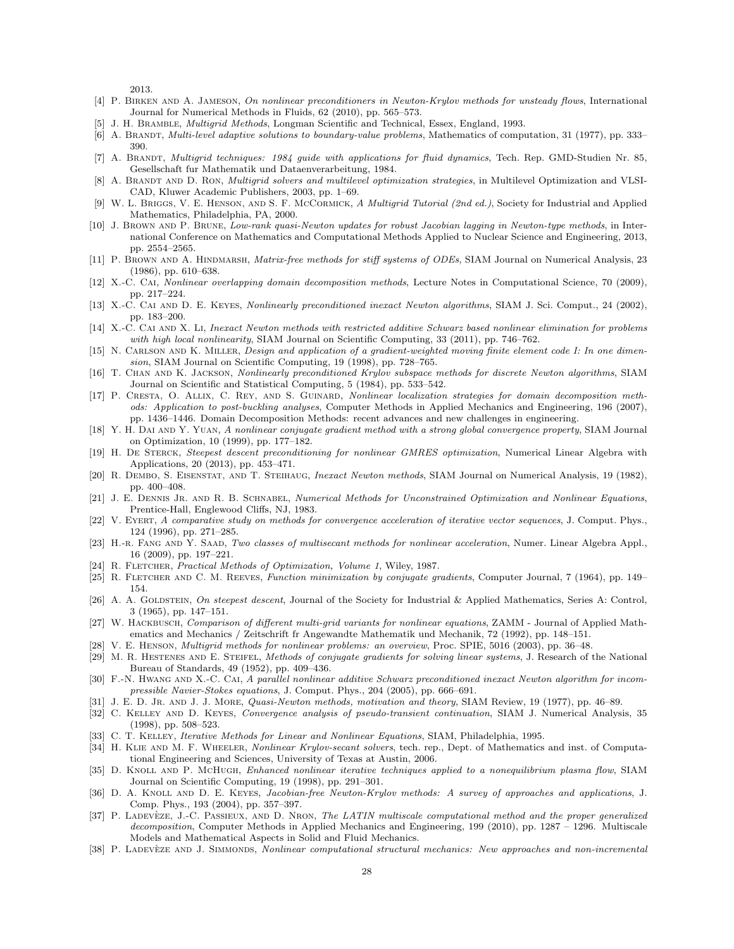2013.

- <span id="page-27-20"></span>[4] P. Birken and A. Jameson, On nonlinear preconditioners in Newton-Krylov methods for unsteady flows, International Journal for Numerical Methods in Fluids, 62 (2010), pp. 565–573.
- <span id="page-27-2"></span>[5] J. H. Bramble, Multigrid Methods, Longman Scientific and Technical, Essex, England, 1993.
- <span id="page-27-33"></span>[6] A. BRANDT, Multi-level adaptive solutions to boundary-value problems, Mathematics of computation, 31 (1977), pp. 333– 390.
- <span id="page-27-1"></span>[7] A. BRANDT, Multigrid techniques: 1984 guide with applications for fluid dynamics, Tech. Rep. GMD-Studien Nr. 85, Gesellschaft fur Mathematik und Dataenverarbeitung, 1984.
- <span id="page-27-34"></span>[8] A. BRANDT AND D. RON, *Multigrid solvers and multilevel optimization strategies*, in Multilevel Optimization and VLSI-CAD, Kluwer Academic Publishers, 2003, pp. 1–69.
- <span id="page-27-3"></span>[9] W. L. BRIGGS, V. E. HENSON, AND S. F. MCCORMICK, A Multigrid Tutorial (2nd ed.), Society for Industrial and Applied Mathematics, Philadelphia, PA, 2000.
- <span id="page-27-26"></span>[10] J. Brown and P. Brune, Low-rank quasi-Newton updates for robust Jacobian lagging in Newton-type methods, in International Conference on Mathematics and Computational Methods Applied to Nuclear Science and Engineering, 2013, pp. 2554–2565.
- <span id="page-27-4"></span>[11] P. BROWN AND A. HINDMARSH, Matrix-free methods for stiff systems of ODEs, SIAM Journal on Numerical Analysis, 23 (1986), pp. 610–638.
- <span id="page-27-8"></span>[12] X.-C. CAI, Nonlinear overlapping domain decomposition methods, Lecture Notes in Computational Science, 70 (2009), pp. 217–224.
- <span id="page-27-7"></span>[13] X.-C. Cai and D. E. Keyes, Nonlinearly preconditioned inexact Newton algorithms, SIAM J. Sci. Comput., 24 (2002), pp. 183–200.
- <span id="page-27-9"></span>[14] X.-C. CAI AND X. Li, Inexact Newton methods with restricted additive Schwarz based nonlinear elimination for problems with high local nonlinearity, SIAM Journal on Scientific Computing, 33 (2011), pp. 746–762.
- <span id="page-27-18"></span>[15] N. CARLSON AND K. MILLER, Design and application of a gradient-weighted moving finite element code I: In one dimension, SIAM Journal on Scientific Computing, 19 (1998), pp. 728–765.
- <span id="page-27-6"></span>[16] T. Chan and K. Jackson, Nonlinearly preconditioned Krylov subspace methods for discrete Newton algorithms, SIAM Journal on Scientific and Statistical Computing, 5 (1984), pp. 533–542.
- <span id="page-27-14"></span>[17] P. CRESTA, O. ALLIX, C. REY, AND S. GUINARD, Nonlinear localization strategies for domain decomposition methods: Application to post-buckling analyses, Computer Methods in Applied Mechanics and Engineering, 196 (2007), pp. 1436–1446. Domain Decomposition Methods: recent advances and new challenges in engineering.
- <span id="page-27-28"></span>[18] Y. H. Dai and Y. Yuan, A nonlinear conjugate gradient method with a strong global convergence property, SIAM Journal on Optimization, 10 (1999), pp. 177–182.
- <span id="page-27-19"></span>[19] H. DE STERCK, Steepest descent preconditioning for nonlinear GMRES optimization, Numerical Linear Algebra with Applications, 20 (2013), pp. 453–471.
- <span id="page-27-0"></span>[20] R. DEMBO, S. EISENSTAT, AND T. STEIHAUG, *Inexact Newton methods*, SIAM Journal on Numerical Analysis, 19 (1982), pp. 400–408.
- <span id="page-27-17"></span>[21] J. E. Dennis Jr. and R. B. Schnabel, Numerical Methods for Unconstrained Optimization and Nonlinear Equations, Prentice-Hall, Englewood Cliffs, NJ, 1983.
- <span id="page-27-25"></span>[22] V. Eyert, A comparative study on methods for convergence acceleration of iterative vector sequences, J. Comput. Phys., 124 (1996), pp. 271–285.
- <span id="page-27-23"></span>[23] H.-r. Fang and Y. Saad, Two classes of multisecant methods for nonlinear acceleration, Numer. Linear Algebra Appl., 16 (2009), pp. 197–221.
- <span id="page-27-30"></span>[24] R. FLETCHER, Practical Methods of Optimization, Volume 1, Wiley, 1987.
- <span id="page-27-27"></span>[25] R. FLETCHER AND C. M. REEVES, Function minimization by conjugate gradients, Computer Journal, 7 (1964), pp. 149– 154.
- <span id="page-27-16"></span>[26] A. A. GOLDSTEIN, On steepest descent, Journal of the Society for Industrial & Applied Mathematics, Series A: Control, 3 (1965), pp. 147–151.
- <span id="page-27-31"></span>[27] W. HACKBUSCH, Comparison of different multi-grid variants for nonlinear equations, ZAMM - Journal of Applied Mathematics and Mechanics / Zeitschrift fr Angewandte Mathematik und Mechanik, 72 (1992), pp. 148–151.
- <span id="page-27-32"></span>[28] V. E. HENSON, *Multigrid methods for nonlinear problems: an overview*, Proc. SPIE, 5016 (2003), pp. 36–48.
- <span id="page-27-29"></span>[29] M. R. HESTENES AND E. STEIFEL, Methods of conjugate gradients for solving linear systems, J. Research of the National Bureau of Standards, 49 (1952), pp. 409–436.
- <span id="page-27-15"></span>[30] F.-N. HWANG AND X.-C. CAI, A parallel nonlinear additive Schwarz preconditioned inexact Newton algorithm for incompressible Navier-Stokes equations, J. Comput. Phys., 204 (2005), pp. 666–691.
- <span id="page-27-21"></span>[31] J. E. D. Jr. and J. J. More, Quasi-Newton methods, motivation and theory, SIAM Review, 19 (1977), pp. 46–89.
- <span id="page-27-11"></span>[32] C. KELLEY AND D. KEYES, Convergence analysis of pseudo-transient continuation, SIAM J. Numerical Analysis, 35 (1998), pp. 508–523.
- <span id="page-27-24"></span>[33] C. T. KELLEY, *Iterative Methods for Linear and Nonlinear Equations*, SIAM, Philadelphia, 1995.
- <span id="page-27-22"></span>[34] H. KLIE AND M. F. WHEELER, Nonlinear Krylov-secant solvers, tech. rep., Dept. of Mathematics and inst. of Computational Engineering and Sciences, University of Texas at Austin, 2006.
- <span id="page-27-10"></span>[35] D. Knoll and P. McHugh, Enhanced nonlinear iterative techniques applied to a nonequilibrium plasma flow, SIAM Journal on Scientific Computing, 19 (1998), pp. 291–301.
- <span id="page-27-5"></span>[36] D. A. KNOLL AND D. E. KEYES, Jacobian-free Newton-Krylov methods: A survey of approaches and applications, J. Comp. Phys., 193 (2004), pp. 357–397.
- <span id="page-27-13"></span>[37] P. LADEVEZE, J.-C. PASSIEUX, AND D. NRON, The LATIN multiscale computational method and the proper generalized decomposition, Computer Methods in Applied Mechanics and Engineering, 199 (2010), pp. 1287 – 1296. Multiscale Models and Mathematical Aspects in Solid and Fluid Mechanics.
- <span id="page-27-12"></span>[38] P. LADEVÈZE AND J. SIMMONDS, Nonlinear computational structural mechanics: New approaches and non-incremental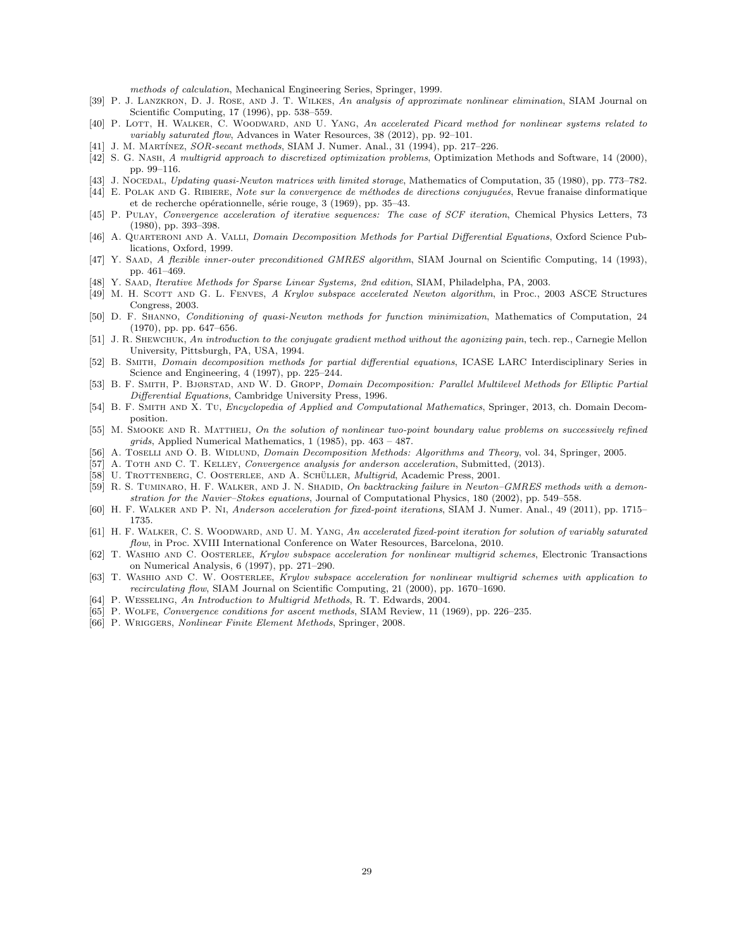methods of calculation, Mechanical Engineering Series, Springer, 1999.

- <span id="page-28-9"></span>[39] P. J. Lanzkron, D. J. Rose, and J. T. Wilkes, An analysis of approximate nonlinear elimination, SIAM Journal on Scientific Computing, 17 (1996), pp. 538–559.
- <span id="page-28-19"></span>[40] P. LOTT, H. WALKER, C. WOODWARD, AND U. YANG, An accelerated Picard method for nonlinear systems related to variably saturated flow, Advances in Water Resources, 38 (2012), pp. 92–101.
- <span id="page-28-27"></span>[41] J. M. MARTÍNEZ, SOR-secant methods, SIAM J. Numer. Anal., 31 (1994), pp. 217–226.
- <span id="page-28-25"></span>[42] S. G. Nash, A multigrid approach to discretized optimization problems, Optimization Methods and Software, 14 (2000), pp. 99–116.
- <span id="page-28-21"></span>[43] J. Nocedal, Updating quasi-Newton matrices with limited storage, Mathematics of Computation, 35 (1980), pp. 773–782.
- <span id="page-28-24"></span>[44] E. POLAK AND G. RIBIERE, Note sur la convergence de méthodes de directions conjuguées, Revue franaise dinformatique et de recherche opérationnelle, série rouge, 3 (1969), pp. 35-43.
- <span id="page-28-15"></span>[45] P. PULAY, Convergence acceleration of iterative sequences: The case of SCF iteration, Chemical Physics Letters, 73 (1980), pp. 393–398.
- <span id="page-28-4"></span>[46] A. QUARTERONI AND A. VALLI, Domain Decomposition Methods for Partial Differential Equations, Oxford Science Publications, Oxford, 1999.
- <span id="page-28-20"></span>[47] Y. SAAD, A flexible inner-outer preconditioned GMRES algorithm, SIAM Journal on Scientific Computing, 14 (1993), pp. 461–469.
- <span id="page-28-7"></span>[48] Y. Saad, Iterative Methods for Sparse Linear Systems, 2nd edition, SIAM, Philadelpha, PA, 2003.
- <span id="page-28-17"></span>[49] M. H. SCOTT AND G. L. FENVES, A Krylov subspace accelerated Newton algorithm, in Proc., 2003 ASCE Structures Congress, 2003.
- <span id="page-28-22"></span>[50] D. F. Shanno, Conditioning of quasi-Newton methods for function minimization, Mathematics of Computation, 24 (1970), pp. pp. 647–656.
- <span id="page-28-23"></span>[51] J. R. SHEWCHUK, An introduction to the conjugate gradient method without the agonizing pain, tech. rep., Carnegie Mellon University, Pittsburgh, PA, USA, 1994.
- <span id="page-28-6"></span>[52] B. Smith, Domain decomposition methods for partial differential equations, ICASE LARC Interdisciplinary Series in Science and Engineering, 4 (1997), pp. 225–244.
- <span id="page-28-3"></span>[53] B. F. Smith, P. Bjørstad, and W. D. Gropp, Domain Decomposition: Parallel Multilevel Methods for Elliptic Partial Differential Equations, Cambridge University Press, 1996.
- <span id="page-28-2"></span>[54] B. F. Smith and X. Tu, Encyclopedia of Applied and Computational Mathematics, Springer, 2013, ch. Domain Decomposition.
- <span id="page-28-10"></span>[55] M. SMOOKE AND R. MATTHEIJ, On the solution of nonlinear two-point boundary value problems on successively refined grids, Applied Numerical Mathematics, 1 (1985), pp. 463 – 487.
- <span id="page-28-5"></span>[56] A. TOSELLI AND O. B. WIDLUND, Domain Decomposition Methods: Algorithms and Theory, vol. 34, Springer, 2005.
- <span id="page-28-16"></span>[57] A. TOTH AND C. T. KELLEY, Convergence analysis for anderson acceleration, Submitted, (2013).
- <span id="page-28-1"></span>[58] U. TROTTENBERG, C. OOSTERLEE, AND A. SCHÜLLER, *Multigrid*, Academic Press, 2001.
- <span id="page-28-13"></span>[59] R. S. TUMINARO, H. F. WALKER, AND J. N. SHADID, On backtracking failure in Newton–GMRES methods with a demonstration for the Navier–Stokes equations, Journal of Computational Physics, 180 (2002), pp. 549–558.
- <span id="page-28-8"></span>[60] H. F. Walker and P. Ni, Anderson acceleration for fixed-point iterations, SIAM J. Numer. Anal., 49 (2011), pp. 1715– 1735.
- <span id="page-28-18"></span>[61] H. F. WALKER, C. S. WOODWARD, AND U. M. YANG, An accelerated fixed-point iteration for solution of variably saturated flow, in Proc. XVIII International Conference on Water Resources, Barcelona, 2010.
- <span id="page-28-14"></span>[62] T. WASHIO AND C. OOSTERLEE, Krylov subspace acceleration for nonlinear multigrid schemes, Electronic Transactions on Numerical Analysis, 6 (1997), pp. 271–290.
- <span id="page-28-11"></span>[63] T. Washio and C. W. Oosterlee, Krylov subspace acceleration for nonlinear multigrid schemes with application to recirculating flow, SIAM Journal on Scientific Computing, 21 (2000), pp. 1670–1690.
- <span id="page-28-0"></span>[64] P. Wesseling, An Introduction to Multigrid Methods, R. T. Edwards, 2004.
- <span id="page-28-12"></span>[65] P. WOLFE, Convergence conditions for ascent methods, SIAM Review, 11 (1969), pp. 226–235.
- <span id="page-28-26"></span>[66] P. WRIGGERS, Nonlinear Finite Element Methods, Springer, 2008.